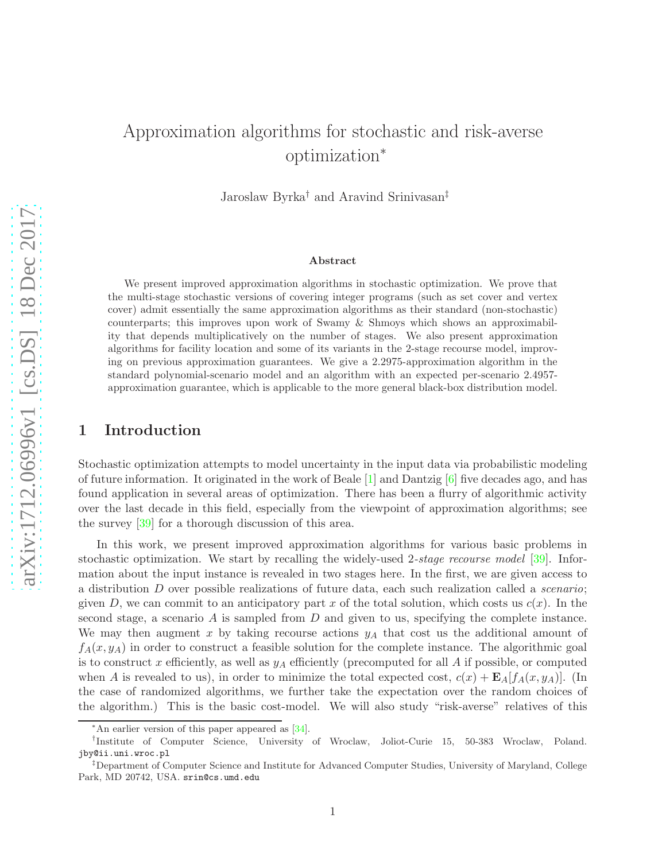# Approximation algorithms for stochastic and risk-averse optimization<sup>∗</sup>

Jaroslaw Byrka† and Aravind Srinivasan‡

#### Abstract

We present improved approximation algorithms in stochastic optimization. We prove that the multi-stage stochastic versions of covering integer programs (such as set cover and vertex cover) admit essentially the same approximation algorithms as their standard (non-stochastic) counterparts; this improves upon work of Swamy & Shmoys which shows an approximability that depends multiplicatively on the number of stages. We also present approximation algorithms for facility location and some of its variants in the 2-stage recourse model, improving on previous approximation guarantees. We give a 2.2975-approximation algorithm in the standard polynomial-scenario model and an algorithm with an expected per-scenario 2.4957 approximation guarantee, which is applicable to the more general black-box distribution model.

# <span id="page-0-0"></span>1 Introduction

Stochastic optimization attempts to model uncertainty in the input data via probabilistic modeling of future information. It originated in the work of Beale  $[1]$  and Dantzig  $[6]$  five decades ago, and has found application in several areas of optimization. There has been a flurry of algorithmic activity over the last decade in this field, especially from the viewpoint of approximation algorithms; see the survey [\[39\]](#page-20-0) for a thorough discussion of this area.

In this work, we present improved approximation algorithms for various basic problems in stochastic optimization. We start by recalling the widely-used 2*-stage recourse model* [\[39\]](#page-20-0). Information about the input instance is revealed in two stages here. In the first, we are given access to a distribution D over possible realizations of future data, each such realization called a *scenario*; given D, we can commit to an anticipatory part x of the total solution, which costs us  $c(x)$ . In the second stage, a scenario  $A$  is sampled from  $D$  and given to us, specifying the complete instance. We may then augment x by taking recourse actions  $y_A$  that cost us the additional amount of  $f_A(x, y_A)$  in order to construct a feasible solution for the complete instance. The algorithmic goal is to construct x efficiently, as well as  $y_A$  efficiently (precomputed for all A if possible, or computed when A is revealed to us), in order to minimize the total expected cost,  $c(x) + \mathbf{E}_{A}[f_{A}(x, y_{A})]$ . (In the case of randomized algorithms, we further take the expectation over the random choices of the algorithm.) This is the basic cost-model. We will also study "risk-averse" relatives of this

<sup>∗</sup>An earlier version of this paper appeared as [\[34\]](#page-20-1).

<sup>†</sup> Institute of Computer Science, University of Wroclaw, Joliot-Curie 15, 50-383 Wroclaw, Poland. jby@ii.uni.wroc.pl

<sup>‡</sup>Department of Computer Science and Institute for Advanced Computer Studies, University of Maryland, College Park, MD 20742, USA. srin@cs.umd.edu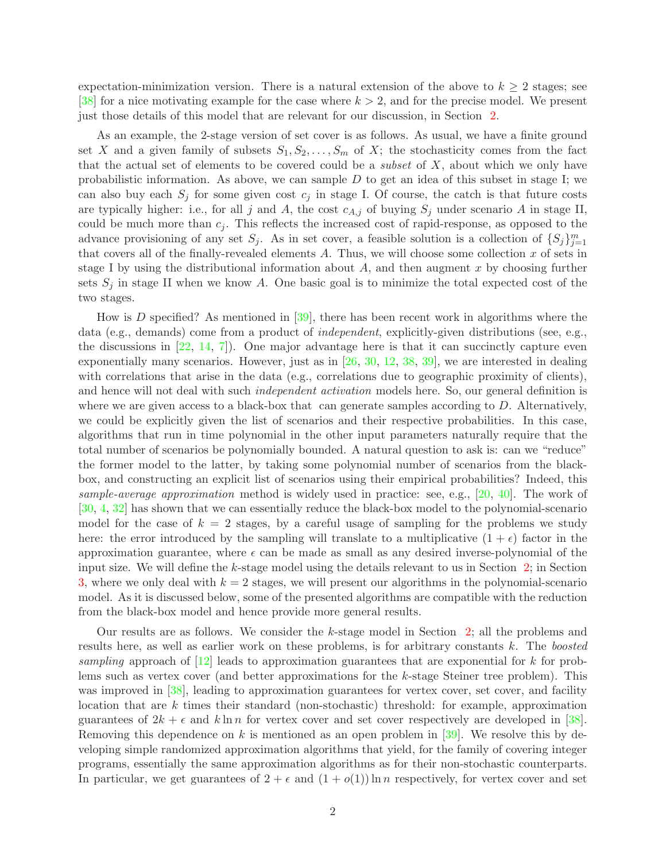expectation-minimization version. There is a natural extension of the above to  $k \geq 2$  stages; see [\[38\]](#page-20-2) for a nice motivating example for the case where  $k > 2$ , and for the precise model. We present just those details of this model that are relevant for our discussion, in Section [2.](#page-3-0)

As an example, the 2-stage version of set cover is as follows. As usual, we have a finite ground set X and a given family of subsets  $S_1, S_2, \ldots, S_m$  of X; the stochasticity comes from the fact that the actual set of elements to be covered could be a *subset* of X, about which we only have probabilistic information. As above, we can sample  $D$  to get an idea of this subset in stage I; we can also buy each  $S_i$  for some given cost  $c_j$  in stage I. Of course, the catch is that future costs are typically higher: i.e., for all j and A, the cost  $c_{A,j}$  of buying  $S_j$  under scenario A in stage II, could be much more than  $c_j$ . This reflects the increased cost of rapid-response, as opposed to the advance provisioning of any set  $S_j$ . As in set cover, a feasible solution is a collection of  $\{S_j\}_{j=1}^m$ that covers all of the finally-revealed elements  $A$ . Thus, we will choose some collection  $x$  of sets in stage I by using the distributional information about  $A$ , and then augment  $x$  by choosing further sets  $S_j$  in stage II when we know A. One basic goal is to minimize the total expected cost of the two stages.

How is D specified? As mentioned in [\[39\]](#page-20-0), there has been recent work in algorithms where the data (e.g., demands) come from a product of *independent*, explicitly-given distributions (see, e.g., the discussions in  $[22, 14, 7]$  $[22, 14, 7]$  $[22, 14, 7]$  $[22, 14, 7]$ . One major advantage here is that it can succinctly capture even exponentially many scenarios. However, just as in [\[26,](#page-19-1) [30,](#page-19-2) [12,](#page-18-3) [38,](#page-20-2) [39\]](#page-20-0), we are interested in dealing with correlations that arise in the data (e.g., correlations due to geographic proximity of clients), and hence will not deal with such *independent activation* models here. So, our general definition is where we are given access to a black-box that can generate samples according to D. Alternatively, we could be explicitly given the list of scenarios and their respective probabilities. In this case, algorithms that run in time polynomial in the other input parameters naturally require that the total number of scenarios be polynomially bounded. A natural question to ask is: can we "reduce" the former model to the latter, by taking some polynomial number of scenarios from the blackbox, and constructing an explicit list of scenarios using their empirical probabilities? Indeed, this *sample-average approximation* method is widely used in practice: see, e.g., [\[20,](#page-19-3) [40\]](#page-20-3). The work of [\[30,](#page-19-2) [4,](#page-18-4) [32\]](#page-19-4) has shown that we can essentially reduce the black-box model to the polynomial-scenario model for the case of  $k = 2$  stages, by a careful usage of sampling for the problems we study here: the error introduced by the sampling will translate to a multiplicative  $(1 + \epsilon)$  factor in the approximation guarantee, where  $\epsilon$  can be made as small as any desired inverse-polynomial of the input size. We will define the k-stage model using the details relevant to us in Section [2;](#page-3-0) in Section [3,](#page-7-0) where we only deal with  $k = 2$  stages, we will present our algorithms in the polynomial-scenario model. As it is discussed below, some of the presented algorithms are compatible with the reduction from the black-box model and hence provide more general results.

Our results are as follows. We consider the  $k$ -stage model in Section [2;](#page-3-0) all the problems and results here, as well as earlier work on these problems, is for arbitrary constants k. The *boosted sampling* approach of [\[12\]](#page-18-3) leads to approximation guarantees that are exponential for k for problems such as vertex cover (and better approximations for the k-stage Steiner tree problem). This was improved in  $\frac{38}{8}$ , leading to approximation guarantees for vertex cover, set cover, and facility location that are k times their standard (non-stochastic) threshold: for example, approximation guarantees of  $2k + \epsilon$  and  $k \ln n$  for vertex cover and set cover respectively are developed in [\[38\]](#page-20-2). Removing this dependence on k is mentioned as an open problem in  $[39]$ . We resolve this by developing simple randomized approximation algorithms that yield, for the family of covering integer programs, essentially the same approximation algorithms as for their non-stochastic counterparts. In particular, we get guarantees of  $2 + \epsilon$  and  $(1 + o(1)) \ln n$  respectively, for vertex cover and set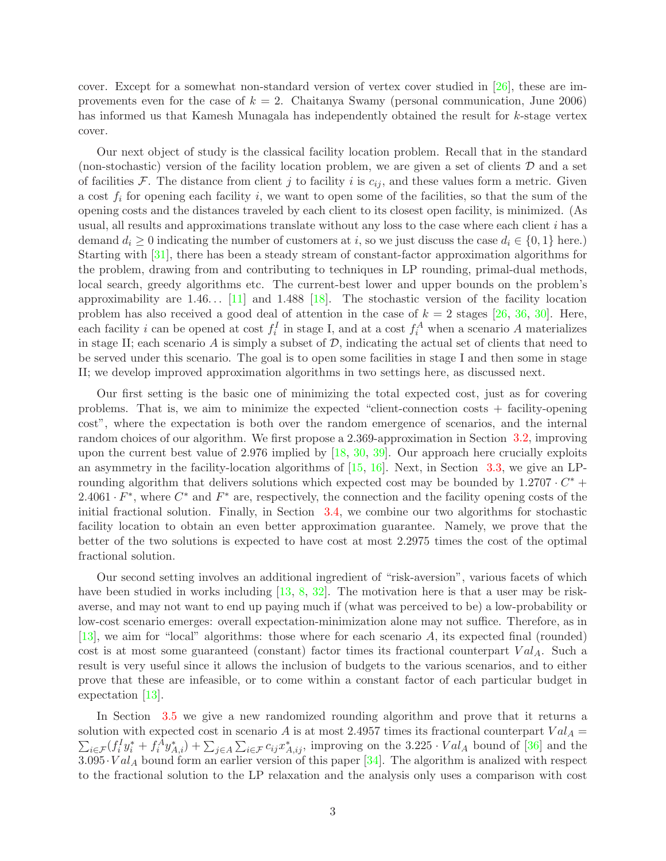cover. Except for a somewhat non-standard version of vertex cover studied in  $[26]$ , these are improvements even for the case of  $k = 2$ . Chaitanya Swamy (personal communication, June 2006) has informed us that Kamesh Munagala has independently obtained the result for k-stage vertex cover.

Our next object of study is the classical facility location problem. Recall that in the standard (non-stochastic) version of the facility location problem, we are given a set of clients  $\mathcal D$  and a set of facilities F. The distance from client j to facility i is  $c_{ij}$ , and these values form a metric. Given a cost  $f_i$  for opening each facility i, we want to open some of the facilities, so that the sum of the opening costs and the distances traveled by each client to its closest open facility, is minimized. (As usual, all results and approximations translate without any loss to the case where each client  $i$  has a demand  $d_i \geq 0$  indicating the number of customers at i, so we just discuss the case  $d_i \in \{0,1\}$  here.) Starting with [\[31\]](#page-19-5), there has been a steady stream of constant-factor approximation algorithms for the problem, drawing from and contributing to techniques in LP rounding, primal-dual methods, local search, greedy algorithms etc. The current-best lower and upper bounds on the problem's approximability are  $1.46...$  [\[11\]](#page-18-5) and  $1.488$  [\[18\]](#page-19-6). The stochastic version of the facility location problem has also received a good deal of attention in the case of  $k = 2$  stages [\[26,](#page-19-1) [36,](#page-20-4) [30\]](#page-19-2). Here, each facility *i* can be opened at cost  $f_i^I$  in stage I, and at a cost  $f_i^A$  when a scenario A materializes in stage II; each scenario A is simply a subset of  $D$ , indicating the actual set of clients that need to be served under this scenario. The goal is to open some facilities in stage I and then some in stage II; we develop improved approximation algorithms in two settings here, as discussed next.

Our first setting is the basic one of minimizing the total expected cost, just as for covering problems. That is, we aim to minimize the expected "client-connection costs + facility-opening cost", where the expectation is both over the random emergence of scenarios, and the internal random choices of our algorithm. We first propose a 2.369-approximation in Section [3.2,](#page-8-0) improving upon the current best value of 2.976 implied by [\[18,](#page-19-6) [30,](#page-19-2) [39\]](#page-20-0). Our approach here crucially exploits an asymmetry in the facility-location algorithms of [\[15,](#page-18-6) [16\]](#page-18-7). Next, in Section [3.3,](#page-10-0) we give an LProunding algorithm that delivers solutions which expected cost may be bounded by  $1.2707 \cdot C^*$  + 2.4061  $\cdot$  F<sup>\*</sup>, where  $C^*$  and  $F^*$  are, respectively, the connection and the facility opening costs of the initial fractional solution. Finally, in Section [3.4,](#page-13-0) we combine our two algorithms for stochastic facility location to obtain an even better approximation guarantee. Namely, we prove that the better of the two solutions is expected to have cost at most 2.2975 times the cost of the optimal fractional solution.

Our second setting involves an additional ingredient of "risk-aversion", various facets of which have been studied in works including [\[13,](#page-18-8) [8,](#page-18-9) [32\]](#page-19-4). The motivation here is that a user may be riskaverse, and may not want to end up paying much if (what was perceived to be) a low-probability or low-cost scenario emerges: overall expectation-minimization alone may not suffice. Therefore, as in [\[13\]](#page-18-8), we aim for "local" algorithms: those where for each scenario A, its expected final (rounded) cost is at most some guaranteed (constant) factor times its fractional counterpart  $Val_A$ . Such a result is very useful since it allows the inclusion of budgets to the various scenarios, and to either prove that these are infeasible, or to come within a constant factor of each particular budget in expectation [\[13\]](#page-18-8).

In Section [3.5](#page-13-1) we give a new randomized rounding algorithm and prove that it returns a solution with expected cost in scenario A is at most 2.4957 times its fractional counterpart  $Val_A =$  $\sum_{i\in\mathcal{F}}(f_i^I y_i^* + f_i^A y_{A,i}^*) + \sum_{j\in A}\sum_{i\in\mathcal{F}}c_{ij}x_{A,ij}^*$ , improving on the 3.225 · Val<sub>A</sub> bound of [\[36\]](#page-20-4) and the  $3.095 \cdot Val_A$  bound form an earlier version of this paper [\[34\]](#page-20-1). The algorithm is analized with respect to the fractional solution to the LP relaxation and the analysis only uses a comparison with cost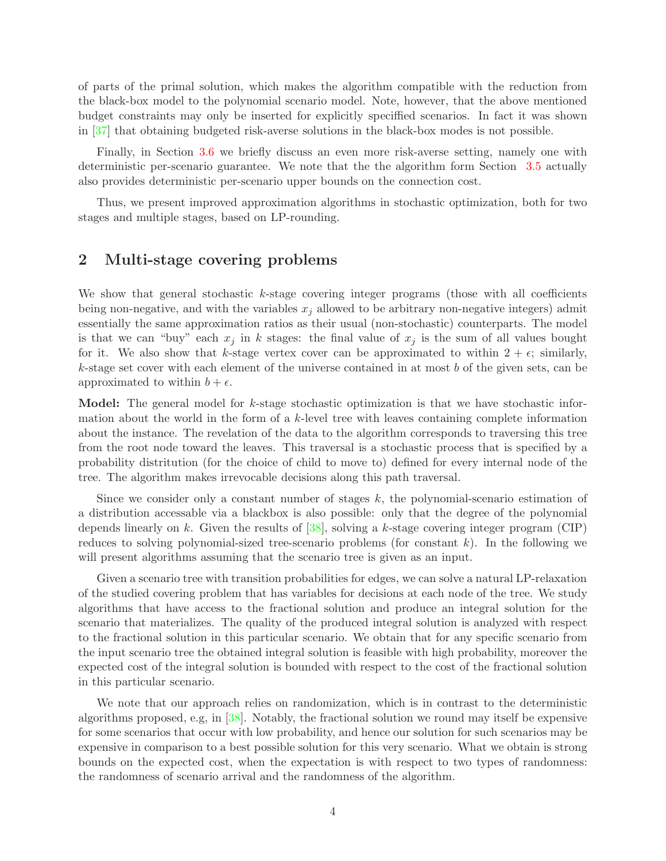of parts of the primal solution, which makes the algorithm compatible with the reduction from the black-box model to the polynomial scenario model. Note, however, that the above mentioned budget constraints may only be inserted for explicitly speciffied scenarios. In fact it was shown in [\[37\]](#page-20-5) that obtaining budgeted risk-averse solutions in the black-box modes is not possible.

Finally, in Section [3.6](#page-16-0) we briefly discuss an even more risk-averse setting, namely one with deterministic per-scenario guarantee. We note that the the algorithm form Section [3.5](#page-13-1) actually also provides deterministic per-scenario upper bounds on the connection cost.

Thus, we present improved approximation algorithms in stochastic optimization, both for two stages and multiple stages, based on LP-rounding.

### <span id="page-3-0"></span>2 Multi-stage covering problems

We show that general stochastic  $k$ -stage covering integer programs (those with all coefficients being non-negative, and with the variables  $x_j$  allowed to be arbitrary non-negative integers) admit essentially the same approximation ratios as their usual (non-stochastic) counterparts. The model is that we can "buy" each  $x_j$  in k stages: the final value of  $x_j$  is the sum of all values bought for it. We also show that k-stage vertex cover can be approximated to within  $2 + \epsilon$ ; similarly,  $k$ -stage set cover with each element of the universe contained in at most  $b$  of the given sets, can be approximated to within  $b + \epsilon$ .

Model: The general model for k-stage stochastic optimization is that we have stochastic information about the world in the form of a  $k$ -level tree with leaves containing complete information about the instance. The revelation of the data to the algorithm corresponds to traversing this tree from the root node toward the leaves. This traversal is a stochastic process that is specified by a probability distritution (for the choice of child to move to) defined for every internal node of the tree. The algorithm makes irrevocable decisions along this path traversal.

Since we consider only a constant number of stages  $k$ , the polynomial-scenario estimation of a distribution accessable via a blackbox is also possible: only that the degree of the polynomial depends linearly on k. Given the results of  $[38]$ , solving a k-stage covering integer program (CIP) reduces to solving polynomial-sized tree-scenario problems (for constant  $k$ ). In the following we will present algorithms assuming that the scenario tree is given as an input.

Given a scenario tree with transition probabilities for edges, we can solve a natural LP-relaxation of the studied covering problem that has variables for decisions at each node of the tree. We study algorithms that have access to the fractional solution and produce an integral solution for the scenario that materializes. The quality of the produced integral solution is analyzed with respect to the fractional solution in this particular scenario. We obtain that for any specific scenario from the input scenario tree the obtained integral solution is feasible with high probability, moreover the expected cost of the integral solution is bounded with respect to the cost of the fractional solution in this particular scenario.

We note that our approach relies on randomization, which is in contrast to the deterministic algorithms proposed, e.g, in [\[38\]](#page-20-2). Notably, the fractional solution we round may itself be expensive for some scenarios that occur with low probability, and hence our solution for such scenarios may be expensive in comparison to a best possible solution for this very scenario. What we obtain is strong bounds on the expected cost, when the expectation is with respect to two types of randomness: the randomness of scenario arrival and the randomness of the algorithm.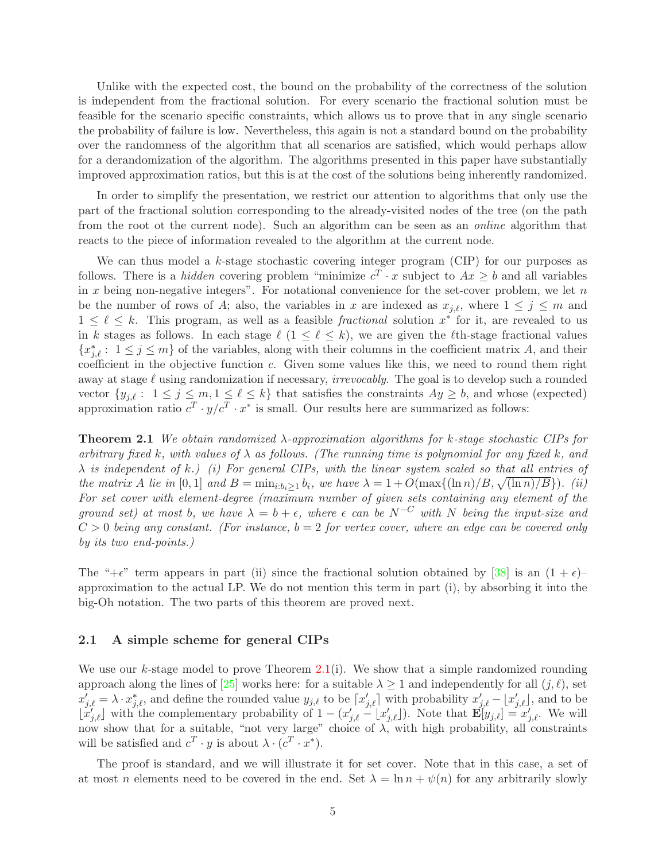Unlike with the expected cost, the bound on the probability of the correctness of the solution is independent from the fractional solution. For every scenario the fractional solution must be feasible for the scenario specific constraints, which allows us to prove that in any single scenario the probability of failure is low. Nevertheless, this again is not a standard bound on the probability over the randomness of the algorithm that all scenarios are satisfied, which would perhaps allow for a derandomization of the algorithm. The algorithms presented in this paper have substantially improved approximation ratios, but this is at the cost of the solutions being inherently randomized.

In order to simplify the presentation, we restrict our attention to algorithms that only use the part of the fractional solution corresponding to the already-visited nodes of the tree (on the path from the root ot the current node). Such an algorithm can be seen as an *online* algorithm that reacts to the piece of information revealed to the algorithm at the current node.

We can thus model a k-stage stochastic covering integer program (CIP) for our purposes as follows. There is a *hidden* covering problem "minimize  $c^T \cdot x$  subject to  $Ax \geq b$  and all variables in  $x$  being non-negative integers". For notational convenience for the set-cover problem, we let  $n$ be the number of rows of A; also, the variables in x are indexed as  $x_{j,\ell}$ , where  $1 \leq j \leq m$  and  $1 \leq \ell \leq k$ . This program, as well as a feasible *fractional* solution  $x^*$  for it, are revealed to us in k stages as follows. In each stage  $\ell$   $(1 \leq \ell \leq k)$ , we are given the  $\ell$ th-stage fractional values  ${x_{j,\ell}^* : 1 \leq j \leq m}$  of the variables, along with their columns in the coefficient matrix A, and their coefficient in the objective function c. Given some values like this, we need to round them right away at stage ℓ using randomization if necessary, *irrevocably*. The goal is to develop such a rounded vector  $\{y_{j,\ell}: 1 \leq j \leq m, 1 \leq \ell \leq k\}$  that satisfies the constraints  $Ay \geq b$ , and whose (expected) approximation ratio  $c^T \cdot y/c^T \cdot x^*$  is small. Our results here are summarized as follows:

<span id="page-4-0"></span>Theorem 2.1 *We obtain randomized* λ*-approximation algorithms for* k*-stage stochastic CIPs for arbitrary fixed* k*, with values of* λ *as follows. (The running time is polynomial for any fixed* k*, and* λ *is independent of* k*.) (i) For general CIPs, with the linear system scaled so that all entries of the matrix A lie in* [0, 1] *and*  $B = \min_{i:b_i \geq 1} b_i$ , we have  $\lambda = 1 + O(\max\{(\ln n)/B, \sqrt{(\ln n)/B}\})$ *. (ii) For set cover with element-degree (maximum number of given sets containing any element of the ground set)* at most b, we have  $\lambda = b + \epsilon$ , where  $\epsilon$  can be  $N^{-C}$  with N being the input-size and  $C > 0$  *being any constant. (For instance, b = 2 for vertex cover, where an edge can be covered only by its two end-points.)*

The "+ $\epsilon$ " term appears in part (ii) since the fractional solution obtained by [\[38\]](#page-20-2) is an  $(1 + \epsilon)$ – approximation to the actual LP. We do not mention this term in part (i), by absorbing it into the big-Oh notation. The two parts of this theorem are proved next.

### 2.1 A simple scheme for general CIPs

We use our  $k$ -stage model to prove Theorem [2.1\(](#page-4-0)i). We show that a simple randomized rounding approach along the lines of [\[25\]](#page-19-7) works here: for a suitable  $\lambda \geq 1$  and independently for all  $(j, \ell)$ , set  $x'_{j,\ell} = \lambda \cdot x^*_{j,\ell}$ , and define the rounded value  $y_{j,\ell}$  to be  $\lceil x'_{j,\ell} \rceil$  with probability  $x'_{j,\ell} - \lfloor x'_{j,\ell} \rfloor$ , and to be  $\lfloor x'_{j,\ell} \rfloor$  with the complementary probability of  $1 - (x'_{j,\ell} - \lfloor x'_{j,\ell} \rfloor)$ . Note that  $\mathbf{E}[y_{j,\ell}] = x'_{j,\ell}$ . We will now show that for a suitable, "not very large" choice of  $\lambda$ , with high probability, all constraints will be satisfied and  $c^T \cdot y$  is about  $\lambda \cdot (c^T \cdot x^*)$ .

The proof is standard, and we will illustrate it for set cover. Note that in this case, a set of at most n elements need to be covered in the end. Set  $\lambda = \ln n + \psi(n)$  for any arbitrarily slowly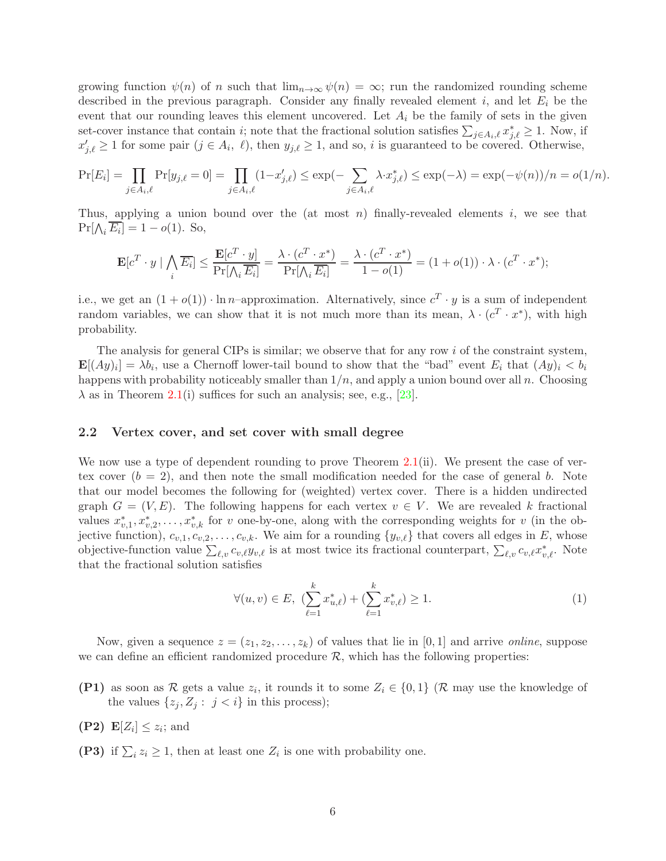growing function  $\psi(n)$  of n such that  $\lim_{n\to\infty}\psi(n) = \infty$ ; run the randomized rounding scheme described in the previous paragraph. Consider any finally revealed element i, and let  $E_i$  be the event that our rounding leaves this element uncovered. Let  $A_i$  be the family of sets in the given set-cover instance that contain *i*; note that the fractional solution satisfies  $\sum_{j\in A_i,\ell} x^*_{j,\ell} \geq 1$ . Now, if  $x'_{j,\ell} \geq 1$  for some pair  $(j \in A_i, \ell)$ , then  $y_{j,\ell} \geq 1$ , and so, i is guaranteed to be covered. Otherwise,

$$
\Pr[E_i] = \prod_{j \in A_i, \ell} \Pr[y_{j,\ell} = 0] = \prod_{j \in A_i, \ell} (1 - x'_{j,\ell}) \le \exp(-\sum_{j \in A_i, \ell} \lambda \cdot x^*_{j,\ell}) \le \exp(-\lambda) = \exp(-\psi(n))/n = o(1/n).
$$

Thus, applying a union bound over the (at most n) finally-revealed elements i, we see that  $Pr[\Lambda_i E_i] = 1 - o(1)$ . So,

$$
\mathbf{E}[c^T \cdot y \mid \bigwedge_i \overline{E_i}] \le \frac{\mathbf{E}[c^T \cdot y]}{\Pr[\bigwedge_i \overline{E_i}]} = \frac{\lambda \cdot (c^T \cdot x^*)}{\Pr[\bigwedge_i \overline{E_i}]} = \frac{\lambda \cdot (c^T \cdot x^*)}{1 - o(1)} = (1 + o(1)) \cdot \lambda \cdot (c^T \cdot x^*);
$$

i.e., we get an  $(1+o(1)) \cdot \ln n$ -approximation. Alternatively, since  $c^T \cdot y$  is a sum of independent random variables, we can show that it is not much more than its mean,  $\lambda \cdot (c^T \cdot x^*)$ , with high probability.

The analysis for general CIPs is similar; we observe that for any row  $i$  of the constraint system,  $\mathbf{E}[(Ay)_i] = \lambda b_i$ , use a Chernoff lower-tail bound to show that the "bad" event  $E_i$  that  $(Ay)_i < b_i$ happens with probability noticeably smaller than  $1/n$ , and apply a union bound over all n. Choosing  $\lambda$  as in Theorem [2.1\(](#page-4-0)i) suffices for such an analysis; see, e.g., [\[23\]](#page-19-8).

#### 2.2 Vertex cover, and set cover with small degree

We now use a type of dependent rounding to prove Theorem [2.1\(](#page-4-0)ii). We present the case of vertex cover  $(b = 2)$ , and then note the small modification needed for the case of general b. Note that our model becomes the following for (weighted) vertex cover. There is a hidden undirected graph  $G = (V, E)$ . The following happens for each vertex  $v \in V$ . We are revealed k fractional values  $x_{v,1}^*, x_{v,2}^*, \ldots, x_{v,k}^*$  for v one-by-one, along with the corresponding weights for v (in the objective function),  $c_{v,1}, c_{v,2}, \ldots, c_{v,k}$ . We aim for a rounding  $\{y_{v,\ell}\}\$  that covers all edges in E, whose objective-function value  $\sum_{\ell,v} c_{v,\ell} y_{v,\ell}$  is at most twice its fractional counterpart,  $\sum_{\ell,v} c_{v,\ell} x_{v,\ell}^*$ . Note that the fractional solution satisfies

<span id="page-5-0"></span>
$$
\forall (u, v) \in E, \ (\sum_{\ell=1}^{k} x_{u,\ell}^*) + (\sum_{\ell=1}^{k} x_{v,\ell}^*) \ge 1. \tag{1}
$$

Now, given a sequence  $z = (z_1, z_2, \ldots, z_k)$  of values that lie in [0, 1] and arrive *online*, suppose we can define an efficient randomized procedure  $R$ , which has the following properties:

- (P1) as soon as R gets a value  $z_i$ , it rounds it to some  $Z_i \in \{0,1\}$  (R may use the knowledge of the values  $\{z_j, Z_j : j < i\}$  in this process);
- (P2)  $\mathbf{E}[Z_i] \leq z_i$ ; and
- (P3) if  $\sum_i z_i \geq 1$ , then at least one  $Z_i$  is one with probability one.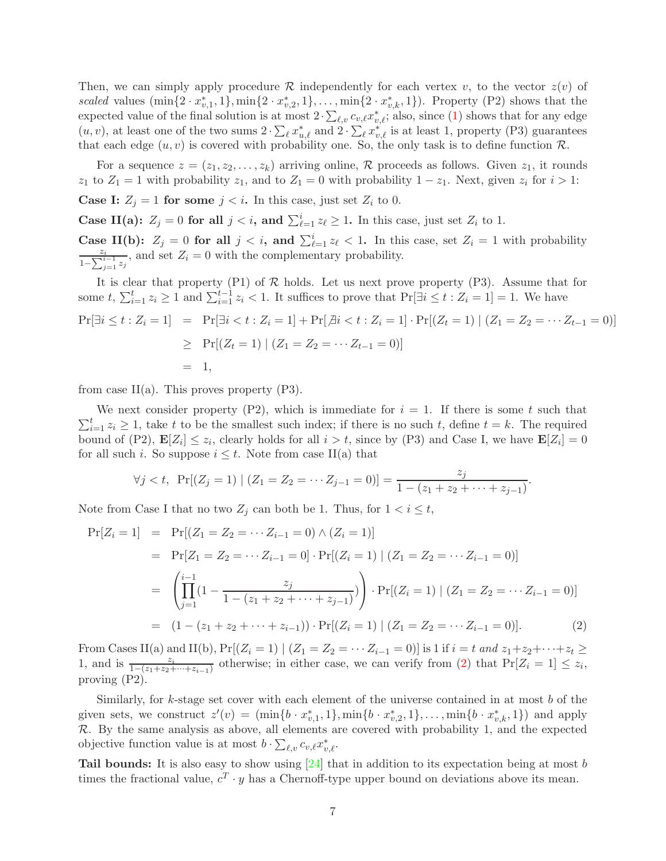Then, we can simply apply procedure R independently for each vertex v, to the vector  $z(v)$  of *scaled* values  $(\min\{2 \cdot x_{v,1}^*, 1\}, \min\{2 \cdot x_{v,2}^*, 1\}, \ldots, \min\{2 \cdot x_{v,k}^*, 1\})$ . Property (P2) shows that the expected value of the final solution is at most  $2 \cdot \sum_{\ell,v} c_{v,\ell} x_{v,\ell}^*$ ; also, since [\(1\)](#page-5-0) shows that for any edge  $(u, v)$ , at least one of the two sums  $2 \cdot \sum_{\ell} x_{u,\ell}^*$  and  $2 \cdot \sum_{\ell} x_{v,\ell}^*$  is at least 1, property (P3) guarantees that each edge  $(u, v)$  is covered with probability one. So, the only task is to define function  $\mathcal{R}$ .

For a sequence  $z = (z_1, z_2, \ldots, z_k)$  arriving online, R proceeds as follows. Given  $z_1$ , it rounds  $z_1$  to  $Z_1 = 1$  with probability  $z_1$ , and to  $Z_1 = 0$  with probability  $1 - z_1$ . Next, given  $z_i$  for  $i > 1$ : **Case I:**  $Z_j = 1$  for some  $j < i$ . In this case, just set  $Z_i$  to 0.

**Case II(a):**  $Z_j = 0$  for all  $j < i$ , and  $\sum_{\ell=1}^{i} z_{\ell} \geq 1$ . In this case, just set  $Z_i$  to 1.

**Case II(b):**  $Z_j = 0$  for all  $j < i$ , and  $\sum_{\ell=1}^i z_{\ell} < 1$ . In this case, set  $Z_i = 1$  with probability  $\frac{z_i}{z_{\ell}} = 0$  and set  $Z_i = 0$  with the complementary probability  $\frac{z_i}{1-\sum_{j=1}^{i-1}z_j}$ , and set  $Z_i=0$  with the complementary probability.

It is clear that property  $(P1)$  of  $R$  holds. Let us next prove property  $(P3)$ . Assume that for some  $t, \sum_{i=1}^{t} z_i \ge 1$  and  $\sum_{i=1}^{t-1} z_i < 1$ . It suffices to prove that  $\Pr[\exists i \le t : Z_i = 1] = 1$ . We have

$$
\Pr[\exists i \le t : Z_i = 1] = \Pr[\exists i < t : Z_i = 1] + \Pr[\exists i < t : Z_i = 1] \cdot \Pr[(Z_t = 1) \mid (Z_1 = Z_2 = \cdots Z_{t-1} = 0)]
$$
\n
$$
\ge \Pr[(Z_t = 1) \mid (Z_1 = Z_2 = \cdots Z_{t-1} = 0)]
$$
\n
$$
= 1,
$$

from case  $II(a)$ . This proves property  $(P3)$ .

We next consider property  $(P2)$ , which is immediate for  $i = 1$ . If there is some t such that  $\sum_{i=1}^{t} z_i \geq 1$ , take t to be the smallest such index; if there is no such t, define  $t = k$ . The required bound of (P2),  $\mathbf{E}[Z_i] \leq z_i$ , clearly holds for all  $i > t$ , since by (P3) and Case I, we have  $\mathbf{E}[Z_i] = 0$ for all such i. So suppose  $i \leq t$ . Note from case II(a) that

$$
\forall j < t, \ \Pr[(Z_j = 1) \mid (Z_1 = Z_2 = \cdots Z_{j-1} = 0)] = \frac{z_j}{1 - (z_1 + z_2 + \cdots + z_{j-1})}
$$

.

Note from Case I that no two  $Z_i$  can both be 1. Thus, for  $1 < i \leq t$ ,

<span id="page-6-0"></span>
$$
\Pr[Z_i = 1] = \Pr[(Z_1 = Z_2 = \cdots Z_{i-1} = 0) \land (Z_i = 1)]
$$
  
\n
$$
= \Pr[Z_1 = Z_2 = \cdots Z_{i-1} = 0] \cdot \Pr[(Z_i = 1) | (Z_1 = Z_2 = \cdots Z_{i-1} = 0)]
$$
  
\n
$$
= \left(\prod_{j=1}^{i-1} (1 - \frac{z_j}{1 - (z_1 + z_2 + \cdots + z_{j-1})})\right) \cdot \Pr[(Z_i = 1) | (Z_1 = Z_2 = \cdots Z_{i-1} = 0)]
$$
  
\n
$$
= (1 - (z_1 + z_2 + \cdots + z_{i-1})) \cdot \Pr[(Z_i = 1) | (Z_1 = Z_2 = \cdots Z_{i-1} = 0)].
$$
 (2)

From Cases II(a) and II(b),  $Pr[(Z_i = 1) | (Z_1 = Z_2 = \cdots Z_{i-1} = 0)]$  is 1 if  $i = t$  and  $z_1 + z_2 + \cdots + z_t \ge$ 1, and is  $\frac{z_i}{1-(z_1+z_2+\cdots+z_{i-1})}$  otherwise; in either case, we can verify from [\(2\)](#page-6-0) that  $Pr[Z_i = 1] \leq z_i$ , proving (P2).

Similarly, for  $k$ -stage set cover with each element of the universe contained in at most  $b$  of the given sets, we construct  $z'(v) = (\min\{b \cdot x_{v,1}^*, 1\}, \min\{b \cdot x_{v,2}^*, 1\}, \ldots, \min\{b \cdot x_{v,k}^*, 1\})$  and apply R. By the same analysis as above, all elements are covered with probability 1, and the expected objective function value is at most  $b \cdot \sum_{\ell,v} c_{v,\ell} x_{v,\ell}^*$ .

**Tail bounds:** It is also easy to show using  $[24]$  that in addition to its expectation being at most b times the fractional value,  $c^T \cdot y$  has a Chernoff-type upper bound on deviations above its mean.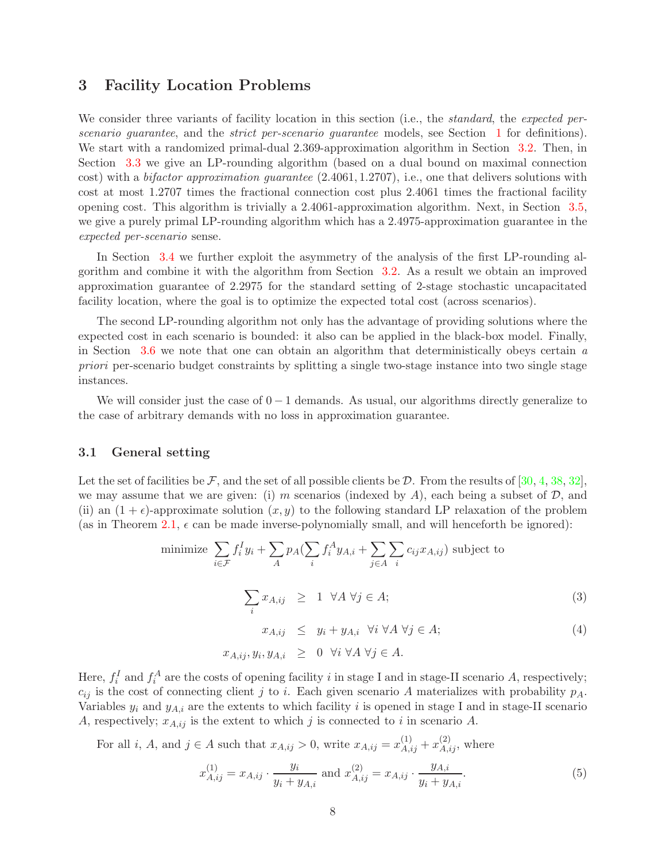# <span id="page-7-0"></span>3 Facility Location Problems

We consider three variants of facility location in this section (i.e., the *standard*, the *expected perscenario guarantee*, and the *strict per-scenario guarantee* models, see Section [1](#page-0-0) for definitions). We start with a randomized primal-dual 2.369-approximation algorithm in Section [3.2.](#page-8-0) Then, in Section [3.3](#page-10-0) we give an LP-rounding algorithm (based on a dual bound on maximal connection cost) with a *bifactor approximation guarantee* (2.4061, 1.2707), i.e., one that delivers solutions with cost at most 1.2707 times the fractional connection cost plus 2.4061 times the fractional facility opening cost. This algorithm is trivially a 2.4061-approximation algorithm. Next, in Section [3.5,](#page-13-1) we give a purely primal LP-rounding algorithm which has a 2.4975-approximation guarantee in the *expected per-scenario* sense.

In Section [3.4](#page-13-0) we further exploit the asymmetry of the analysis of the first LP-rounding algorithm and combine it with the algorithm from Section [3.2.](#page-8-0) As a result we obtain an improved approximation guarantee of 2.2975 for the standard setting of 2-stage stochastic uncapacitated facility location, where the goal is to optimize the expected total cost (across scenarios).

The second LP-rounding algorithm not only has the advantage of providing solutions where the expected cost in each scenario is bounded: it also can be applied in the black-box model. Finally, in Section [3.6](#page-16-0) we note that one can obtain an algorithm that deterministically obeys certain *a priori* per-scenario budget constraints by splitting a single two-stage instance into two single stage instances.

We will consider just the case of  $0 - 1$  demands. As usual, our algorithms directly generalize to the case of arbitrary demands with no loss in approximation guarantee.

#### 3.1 General setting

Let the set of facilities be  $\mathcal{F}$ , and the set of all possible clients be  $\mathcal{D}$ . From the results of [\[30,](#page-19-2) [4,](#page-18-4) [38,](#page-20-2) [32\]](#page-19-4), we may assume that we are given: (i) m scenarios (indexed by A), each being a subset of  $\mathcal{D}$ , and (ii) an  $(1 + \epsilon)$ -approximate solution  $(x, y)$  to the following standard LP relaxation of the problem (as in Theorem [2.1,](#page-4-0)  $\epsilon$  can be made inverse-polynomially small, and will henceforth be ignored):

minimize 
$$
\sum_{i \in \mathcal{F}} f_i^I y_i + \sum_A p_A (\sum_i f_i^A y_{A,i} + \sum_{j \in A} \sum_i c_{ij} x_{A,ij})
$$
 subject to  

$$
\sum_i x_{A,ij} \geq 1 \ \forall A \ \forall j \in A;
$$
 (3)

<span id="page-7-1"></span>
$$
x_{A,ij} \leq y_i + y_{A,i} \quad \forall i \ \forall A \ \forall j \in A; \tag{4}
$$

$$
x_{A,ij}, y_i, y_{A,i} \geq 0 \quad \forall i \ \forall A \ \forall j \in A.
$$

Here,  $f_i^I$  and  $f_i^A$  are the costs of opening facility i in stage I and in stage-II scenario A, respectively;  $c_{ij}$  is the cost of connecting client j to i. Each given scenario A materializes with probability  $p_A$ . Variables  $y_i$  and  $y_{A,i}$  are the extents to which facility i is opened in stage I and in stage-II scenario A, respectively;  $x_{A,ij}$  is the extent to which j is connected to i in scenario A.

For all i, A, and  $j \in A$  such that  $x_{A,ij} > 0$ , write  $x_{A,ij} = x_{A,ij}^{(1)} + x_{A,ij}^{(2)}$ , where

$$
x_{A,ij}^{(1)} = x_{A,ij} \cdot \frac{y_i}{y_i + y_{A,i}} \text{ and } x_{A,ij}^{(2)} = x_{A,ij} \cdot \frac{y_{A,i}}{y_i + y_{A,i}}.\tag{5}
$$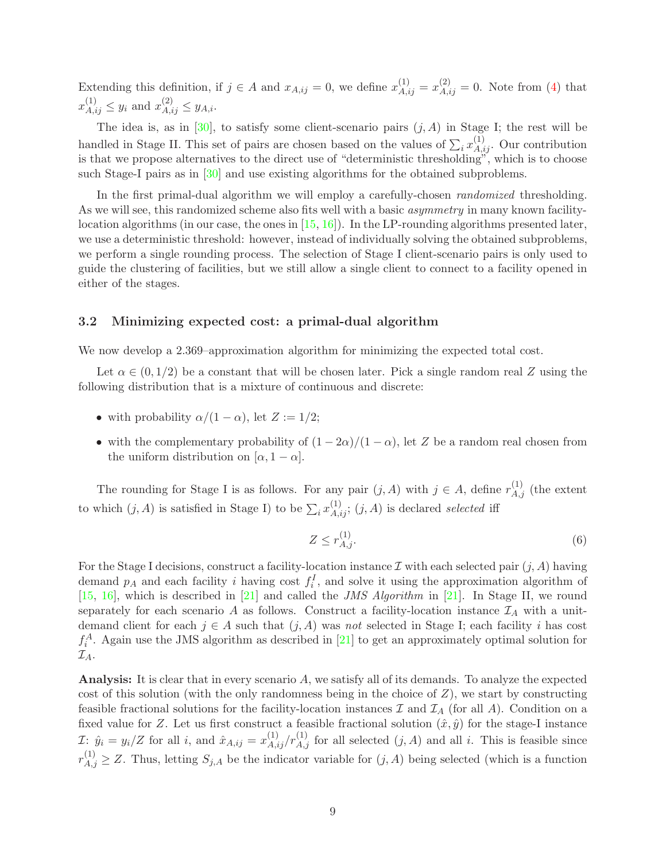Extending this definition, if  $j \in A$  and  $x_{A,ij} = 0$ , we define  $x_{A,ij}^{(1)} = x_{A,ij}^{(2)} = 0$ . Note from [\(4\)](#page-7-1) that  $x_{A,ij}^{(1)} \leq y_i$  and  $x_{A,ij}^{(2)} \leq y_{A,i}$ .

The idea is, as in  $[30]$ , to satisfy some client-scenario pairs  $(j, A)$  in Stage I; the rest will be handled in Stage II. This set of pairs are chosen based on the values of  $\sum_i x_{A,ij}^{(1)}$ . Our contribution is that we propose alternatives to the direct use of "deterministic thresholding", which is to choose such Stage-I pairs as in [\[30\]](#page-19-2) and use existing algorithms for the obtained subproblems.

In the first primal-dual algorithm we will employ a carefully-chosen *randomized* thresholding. As we will see, this randomized scheme also fits well with a basic *asymmetry* in many known facilitylocation algorithms (in our case, the ones in  $[15, 16]$  $[15, 16]$ ). In the LP-rounding algorithms presented later, we use a deterministic threshold: however, instead of individually solving the obtained subproblems, we perform a single rounding process. The selection of Stage I client-scenario pairs is only used to guide the clustering of facilities, but we still allow a single client to connect to a facility opened in either of the stages.

#### <span id="page-8-0"></span>3.2 Minimizing expected cost: a primal-dual algorithm

We now develop a 2.369–approximation algorithm for minimizing the expected total cost.

Let  $\alpha \in (0, 1/2)$  be a constant that will be chosen later. Pick a single random real Z using the following distribution that is a mixture of continuous and discrete:

- with probability  $\alpha/(1-\alpha)$ , let  $Z := 1/2$ ;
- with the complementary probability of  $(1-2\alpha)/(1-\alpha)$ , let Z be a random real chosen from the uniform distribution on  $[\alpha, 1 - \alpha]$ .

The rounding for Stage I is as follows. For any pair  $(j, A)$  with  $j \in A$ , define  $r_{A,j}^{(1)}$  (the extent to which  $(j, A)$  is satisfied in Stage I) to be  $\sum_i x_{A, ij}^{(1)}$ ;  $(j, A)$  is declared *selected* iff

<span id="page-8-1"></span>
$$
Z \le r_{A,j}^{(1)}.\tag{6}
$$

For the Stage I decisions, construct a facility-location instance  $\mathcal I$  with each selected pair  $(j, A)$  having demand  $p_A$  and each facility i having cost  $f_i^I$ , and solve it using the approximation algorithm of [\[15,](#page-18-6) [16\]](#page-18-7), which is described in [\[21\]](#page-19-10) and called the *JMS Algorithm* in [\[21\]](#page-19-10). In Stage II, we round separately for each scenario A as follows. Construct a facility-location instance  $\mathcal{I}_A$  with a unitdemand client for each  $j \in A$  such that  $(j, A)$  was *not* selected in Stage I; each facility i has cost  $f_i^A$ . Again use the JMS algorithm as described in [\[21\]](#page-19-10) to get an approximately optimal solution for  $\mathcal{I}_A$ .

Analysis: It is clear that in every scenario A, we satisfy all of its demands. To analyze the expected cost of this solution (with the only randomness being in the choice of  $Z$ ), we start by constructing feasible fractional solutions for the facility-location instances  $\mathcal I$  and  $\mathcal I_A$  (for all A). Condition on a fixed value for Z. Let us first construct a feasible fractional solution  $(\hat{x}, \hat{y})$  for the stage-I instance  $\mathcal{I}: \hat{y}_i = y_i/Z$  for all i, and  $\hat{x}_{A,ij} = x_{A,ij}^{(1)}/r_{A,j}^{(1)}$  for all selected  $(j, A)$  and all i. This is feasible since  $r_{A,j}^{(1)} \geq Z$ . Thus, letting  $S_{j,A}$  be the indicator variable for  $(j,A)$  being selected (which is a function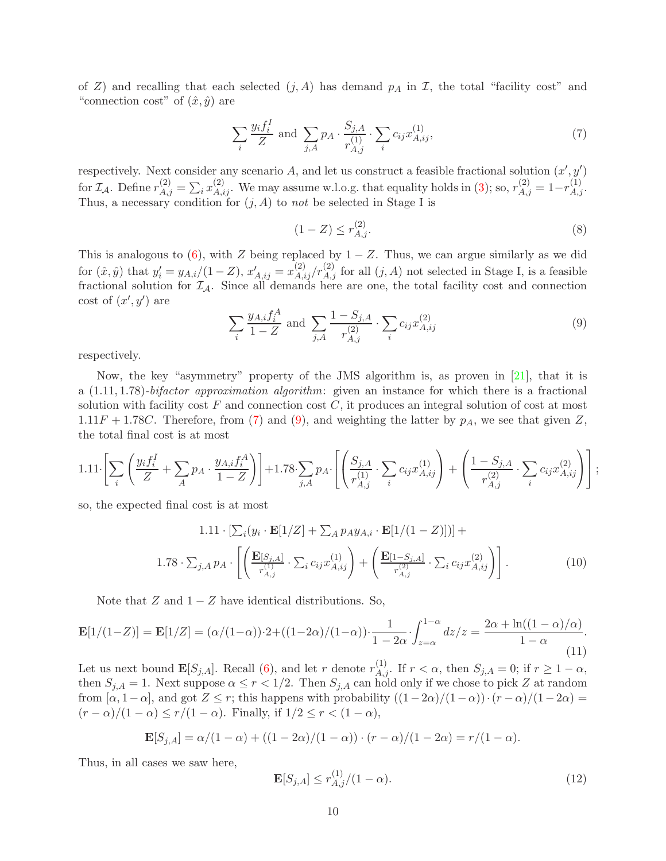of Z) and recalling that each selected  $(j, A)$  has demand  $p_A$  in  $\mathcal I$ , the total "facility cost" and "connection cost" of  $(\hat{x}, \hat{y})$  are

<span id="page-9-0"></span>
$$
\sum_{i} \frac{y_i f_i^I}{Z} \text{ and } \sum_{j,A} p_A \cdot \frac{S_{j,A}}{r_{A,j}^{(1)}} \cdot \sum_{i} c_{ij} x_{A,ij}^{(1)}, \tag{7}
$$

respectively. Next consider any scenario A, and let us construct a feasible fractional solution  $(x', y')$ for  $\mathcal{I}_{\mathcal{A}}$ . Define  $r_{A,j}^{(2)} = \sum_i x_{A,ij}^{(2)}$ . We may assume w.l.o.g. that equality holds in [\(3\)](#page-7-1); so,  $r_{A,j}^{(2)} = 1 - r_{A,j}^{(1)}$ . Thus, a necessary condition for  $(j, A)$  to *not* be selected in Stage I is

<span id="page-9-2"></span>
$$
(1 - Z) \le r_{A,j}^{(2)}.\tag{8}
$$

This is analogous to [\(6\)](#page-8-1), with Z being replaced by  $1 - Z$ . Thus, we can argue similarly as we did for  $(\hat{x}, \hat{y})$  that  $y'_i = y_{A,i}/(1-Z)$ ,  $x'_{A,ij} = x^{(2)}_{A,ij}/r^{(2)}_{A,j}$  for all  $(j, A)$  not selected in Stage I, is a feasible fractional solution for  $\mathcal{I}_{\mathcal{A}}$ . Since all demands here are one, the total facility cost and connection cost of  $(x', y')$  are

<span id="page-9-1"></span>
$$
\sum_{i} \frac{y_{A,i} f_i^A}{1 - Z} \text{ and } \sum_{j,A} \frac{1 - S_{j,A}}{r_{A,j}^{(2)}} \cdot \sum_{i} c_{ij} x_{A,ij}^{(2)} \tag{9}
$$

respectively.

Now, the key "asymmetry" property of the JMS algorithm is, as proven in [\[21\]](#page-19-10), that it is a (1.11, 1.78)*-bifactor approximation algorithm*: given an instance for which there is a fractional solution with facility cost  $F$  and connection cost  $C$ , it produces an integral solution of cost at most  $1.11F + 1.78C$ . Therefore, from [\(7\)](#page-9-0) and [\(9\)](#page-9-1), and weighting the latter by  $p_A$ , we see that given Z, the total final cost is at most

$$
1.11 \cdot \left[ \sum_{i} \left( \frac{y_i f_i^I}{Z} + \sum_{A} p_A \cdot \frac{y_{A,i} f_i^A}{1 - Z} \right) \right] + 1.78 \cdot \sum_{j,A} p_A \cdot \left[ \left( \frac{S_{j,A}}{r_{A,j}^{(1)}} \cdot \sum_{i} c_{ij} x_{A,ij}^{(1)} \right) + \left( \frac{1 - S_{j,A}}{r_{A,j}^{(2)}} \cdot \sum_{i} c_{ij} x_{A,ij}^{(2)} \right) \right];
$$

so, the expected final cost is at most

<span id="page-9-5"></span>
$$
1.11 \cdot \left[\sum_{i} (y_i \cdot \mathbf{E}[1/Z] + \sum_{A} p_A y_{A,i} \cdot \mathbf{E}[1/(1-Z))] \right] +
$$
  

$$
1.78 \cdot \sum_{j,A} p_A \cdot \left[ \left( \frac{\mathbf{E}[S_{j,A}]}{r_{A,j}^{(1)}} \cdot \sum_{i} c_{ij} x_{A,ij}^{(1)} \right) + \left( \frac{\mathbf{E}[1-S_{j,A}]}{r_{A,j}^{(2)}} \cdot \sum_{i} c_{ij} x_{A,ij}^{(2)} \right) \right].
$$
 (10)

Note that  $Z$  and  $1 - Z$  have identical distributions. So,

<span id="page-9-3"></span>
$$
\mathbf{E}[1/(1-Z)] = \mathbf{E}[1/Z] = (\alpha/(1-\alpha)) \cdot 2 + ((1-2\alpha)/(1-\alpha)) \cdot \frac{1}{1-2\alpha} \cdot \int_{z=\alpha}^{1-\alpha} dz/z = \frac{2\alpha + \ln((1-\alpha)/\alpha)}{1-\alpha}.
$$
\n(11)

Let us next bound  $\mathbf{E}[S_{j,A}]$ . Recall [\(6\)](#page-8-1), and let r denote  $r_{A,j}^{(1)}$ . If  $r < \alpha$ , then  $S_{j,A} = 0$ ; if  $r \ge 1 - \alpha$ , then  $S_{j,A} = 1$ . Next suppose  $\alpha \leq r < 1/2$ . Then  $S_{j,A}$  can hold only if we chose to pick Z at random from  $[\alpha, 1-\alpha]$ , and got  $Z \leq r$ ; this happens with probability  $((1-2\alpha)/(1-\alpha)) \cdot (r-\alpha)/(1-2\alpha) =$  $(r - \alpha)/(1 - \alpha) \leq r/(1 - \alpha)$ . Finally, if  $1/2 \leq r < (1 - \alpha)$ ,

$$
\mathbf{E}[S_{j,A}] = \alpha/(1-\alpha) + ((1-2\alpha)/(1-\alpha)) \cdot (r-\alpha)/(1-2\alpha) = r/(1-\alpha).
$$

Thus, in all cases we saw here,

<span id="page-9-4"></span>
$$
\mathbf{E}[S_{j,A}] \le r_{A,j}^{(1)}/(1-\alpha). \tag{12}
$$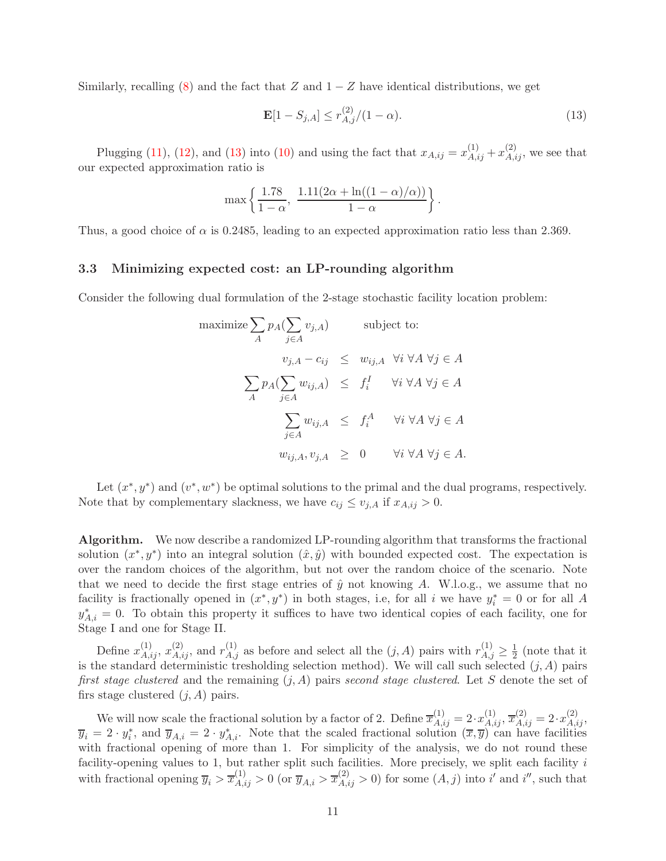Similarly, recalling [\(8\)](#page-9-2) and the fact that Z and  $1-Z$  have identical distributions, we get

<span id="page-10-1"></span>
$$
\mathbf{E}[1 - S_{j,A}] \le r_{A,j}^{(2)}/(1 - \alpha). \tag{13}
$$

Plugging [\(11\)](#page-9-3), [\(12\)](#page-9-4), and [\(13\)](#page-10-1) into [\(10\)](#page-9-5) and using the fact that  $x_{A,ij} = x_{A,ij}^{(1)} + x_{A,ij}^{(2)}$ , we see that our expected approximation ratio is

$$
\max\left\{\frac{1.78}{1-\alpha},\ \frac{1.11(2\alpha+\ln((1-\alpha)/\alpha))}{1-\alpha}\right\}.
$$

<span id="page-10-0"></span>Thus, a good choice of  $\alpha$  is 0.2485, leading to an expected approximation ratio less than 2.369.

#### 3.3 Minimizing expected cost: an LP-rounding algorithm

Consider the following dual formulation of the 2-stage stochastic facility location problem:

maximize 
$$
\sum_{A} p_A(\sum_{j \in A} v_{j,A})
$$
 subject to:  
\n $v_{j,A} - c_{ij} \leq w_{ij,A} \quad \forall i \forall A \forall j \in A$   
\n $\sum_{A} p_A(\sum_{j \in A} w_{ij,A}) \leq f_i^I \quad \forall i \forall A \forall j \in A$   
\n $\sum_{j \in A} w_{ij,A} \leq f_i^A \quad \forall i \forall A \forall j \in A$   
\n $w_{ij,A}, v_{j,A} \geq 0 \quad \forall i \forall A \forall j \in A.$ 

Let  $(x^*, y^*)$  and  $(v^*, w^*)$  be optimal solutions to the primal and the dual programs, respectively. Note that by complementary slackness, we have  $c_{ij} \le v_{j,A}$  if  $x_{A,ij} > 0$ .

Algorithm. We now describe a randomized LP-rounding algorithm that transforms the fractional solution  $(x^*, y^*)$  into an integral solution  $(\hat{x}, \hat{y})$  with bounded expected cost. The expectation is over the random choices of the algorithm, but not over the random choice of the scenario. Note that we need to decide the first stage entries of  $\hat{y}$  not knowing A. W.l.o.g., we assume that no facility is fractionally opened in  $(x^*, y^*)$  in both stages, i.e, for all i we have  $y_i^* = 0$  or for all A  $y_{A,i}^* = 0$ . To obtain this property it suffices to have two identical copies of each facility, one for Stage I and one for Stage II.

Define  $x_{A,ij}^{(1)}$ ,  $x_{A,ij}^{(2)}$ , and  $r_{A,j}^{(1)}$  as before and select all the  $(j, A)$  pairs with  $r_{A,j}^{(1)} \geq \frac{1}{2}$  $\frac{1}{2}$  (note that it is the standard deterministic tresholding selection method). We will call such selected  $(j, A)$  pairs *first stage clustered* and the remaining (j, A) pairs *second stage clustered*. Let S denote the set of firs stage clustered  $(j, A)$  pairs.

We will now scale the fractional solution by a factor of 2. Define  $\overline{x}_{A,ij}^{(1)} = 2 \cdot x_{A,ij}^{(1)}$ ,  $\overline{x}_{A,ij}^{(2)} = 2 \cdot x_{A,ij}^{(2)}$ ,  $\overline{y}_i = 2 \cdot y_i^*$ , and  $\overline{y}_{A,i} = 2 \cdot y_{A,i}^*$ . Note that the scaled fractional solution  $(\overline{x}, \overline{y})$  can have facilities with fractional opening of more than 1. For simplicity of the analysis, we do not round these facility-opening values to 1, but rather split such facilities. More precisely, we split each facility i with fractional opening  $\overline{y}_i > \overline{x}_{A,ij}^{(1)} > 0$  (or  $\overline{y}_{A,i} > \overline{x}_{A,ij}^{(2)} > 0$ ) for some  $(A, j)$  into i' and i'', such that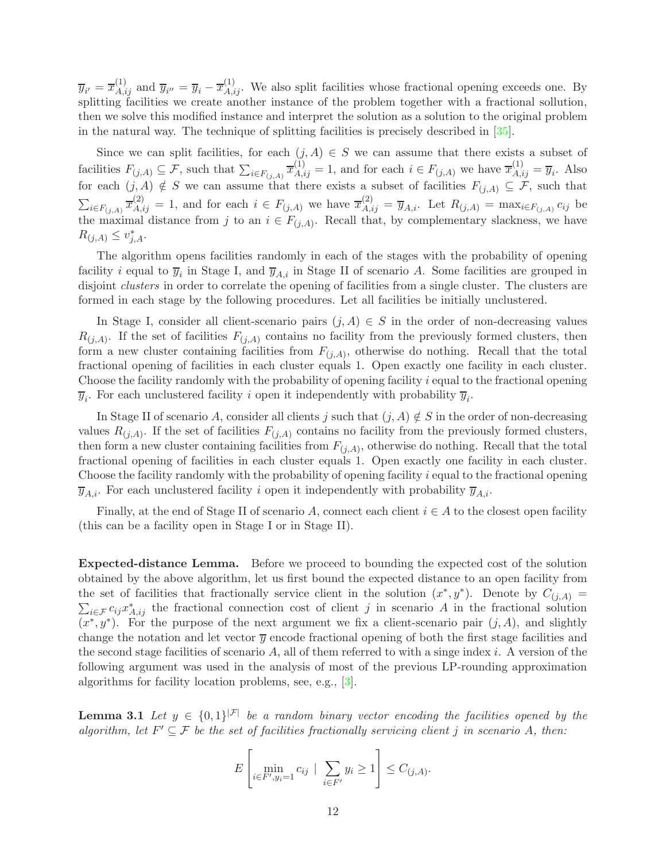$\overline{y}_{i'} = \overline{x}_{A,ij}^{(1)}$  and  $\overline{y}_{i''} = \overline{y}_i - \overline{x}_{A,ij}^{(1)}$ . We also split facilities whose fractional opening exceeds one. By splitting facilities we create another instance of the problem together with a fractional sollution, then we solve this modified instance and interpret the solution as a solution to the original problem in the natural way. The technique of splitting facilities is precisely described in [\[35\]](#page-20-6).

Since we can split facilities, for each  $(j, A) \in S$  we can assume that there exists a subset of facilities  $F_{(j,A)} \subseteq \mathcal{F}$ , such that  $\sum_{i \in F_{(j,A)}} \overline{x}_{A,ij}^{(1)} = 1$ , and for each  $i \in F_{(j,A)}$  we have  $\overline{x}_{A,ij}^{(1)} = \overline{y}_i$ . Also for each  $(j, A) \notin S$  we can assume that there exists a subset of facilities  $F_{(j,A)} \subseteq \mathcal{F}$ , such that  $\sum_{i\in F_{(j,A)}} \overline{x}_{A,ij}^{(2)} = 1$ , and for each  $i \in F_{(j,A)}$  we have  $\overline{x}_{A,ij}^{(2)} = \overline{y}_{A,i}$ . Let  $R_{(j,A)} = \max_{i \in F_{(j,A)}} c_{ij}$  be the maximal distance from j to an  $i \in F_{(j,A)}$ . Recall that, by complementary slackness, we have  $R_{(j,A)} \leq v^*_{j,A}.$ 

The algorithm opens facilities randomly in each of the stages with the probability of opening facility i equal to  $\overline{y}_i$  in Stage I, and  $\overline{y}_{A,i}$  in Stage II of scenario A. Some facilities are grouped in disjoint *clusters* in order to correlate the opening of facilities from a single cluster. The clusters are formed in each stage by the following procedures. Let all facilities be initially unclustered.

In Stage I, consider all client-scenario pairs  $(j, A) \in S$  in the order of non-decreasing values  $R_{(j,A)}$ . If the set of facilities  $F_{(j,A)}$  contains no facility from the previously formed clusters, then form a new cluster containing facilities from  $F_{(j,A)}$ , otherwise do nothing. Recall that the total fractional opening of facilities in each cluster equals 1. Open exactly one facility in each cluster. Choose the facility randomly with the probability of opening facility i equal to the fractional opening  $\overline{y}_i$ . For each unclustered facility i open it independently with probability  $\overline{y}_i$ .

In Stage II of scenario A, consider all clients j such that  $(j, A) \notin S$  in the order of non-decreasing values  $R_{(j,A)}$ . If the set of facilities  $F_{(j,A)}$  contains no facility from the previously formed clusters, then form a new cluster containing facilities from  $F_{(j,A)}$ , otherwise do nothing. Recall that the total fractional opening of facilities in each cluster equals 1. Open exactly one facility in each cluster. Choose the facility randomly with the probability of opening facility i equal to the fractional opening  $\overline{y}_{A,i}$ . For each unclustered facility i open it independently with probability  $\overline{y}_{A,i}$ .

Finally, at the end of Stage II of scenario A, connect each client  $i \in A$  to the closest open facility (this can be a facility open in Stage I or in Stage II).

Expected-distance Lemma. Before we proceed to bounding the expected cost of the solution obtained by the above algorithm, let us first bound the expected distance to an open facility from the set of facilities that fractionally service client in the solution  $(x^*, y^*)$ . Denote by  $C_{(j,A)} =$  $\sum_{i\in\mathcal{F}}c_{ij}x_{A,ij}^*$  the fractional connection cost of client j in scenario A in the fractional solution  $(x^*, y^*)$ . For the purpose of the next argument we fix a client-scenario pair  $(j, A)$ , and slightly change the notation and let vector  $\overline{y}$  encode fractional opening of both the first stage facilities and the second stage facilities of scenario A, all of them referred to with a singe index  $i$ . A version of the following argument was used in the analysis of most of the previous LP-rounding approximation algorithms for facility location problems, see, e.g., [\[3\]](#page-18-10).

<span id="page-11-0"></span>**Lemma 3.1** Let  $y \in \{0,1\}^{|\mathcal{F}|}$  be a random binary vector encoding the facilities opened by the *algorithm, let*  $F' \subseteq F$  *be the set of facilities fractionally servicing client j in scenario* A, then:

$$
E\left[\min_{i\in F',y_i=1}c_{ij}\mid \sum_{i\in F'}y_i\geq 1\right]\leq C_{(j,A)}.
$$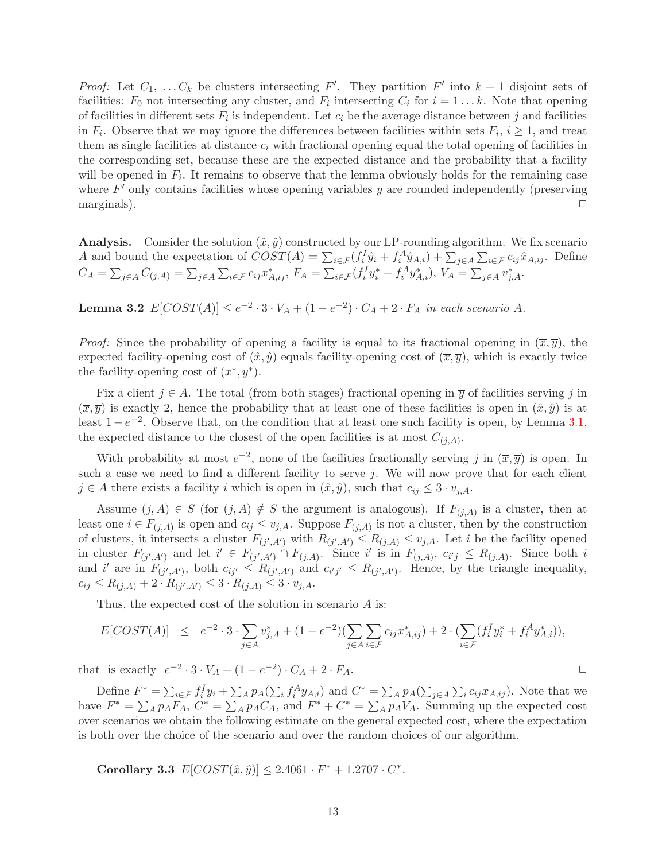*Proof:* Let  $C_1, \ldots, C_k$  be clusters intersecting F'. They partition F' into  $k+1$  disjoint sets of facilities:  $F_0$  not intersecting any cluster, and  $F_i$  intersecting  $C_i$  for  $i = 1...k$ . Note that opening of facilities in different sets  $F_i$  is independent. Let  $c_i$  be the average distance between j and facilities in  $F_i$ . Observe that we may ignore the differences between facilities within sets  $F_i$ ,  $i \geq 1$ , and treat them as single facilities at distance  $c_i$  with fractional opening equal the total opening of facilities in the corresponding set, because these are the expected distance and the probability that a facility will be opened in  $F_i$ . It remains to observe that the lemma obviously holds for the remaining case where  $F'$  only contains facilities whose opening variables  $y$  are rounded independently (preserving marginals).  $\Box$ 

<span id="page-12-0"></span>**Analysis.** Consider the solution  $(\hat{x}, \hat{y})$  constructed by our LP-rounding algorithm. We fix scenario A and bound the expectation of  $COST(A) = \sum_{i \in \mathcal{F}} (f_i^I \hat{y}_i + f_i^A \hat{y}_{A,i}) + \sum_{j \in A} \sum_{i \in \mathcal{F}} c_{ij} \hat{x}_{A,ij}$ . Define  $C_A = \sum_{j \in A} C_{(j, A)} = \sum_{j \in A} \sum_{i \in \mathcal{F}} c_{ij} x_{A, ij}^*, F_A = \sum_{i \in \mathcal{F}} (f_i^I y_i^* + f_i^A y_{A, i}^*), V_A = \sum_{j \in A} v_{j, A}^*.$ 

**Lemma 3.2**  $E[COST(A)] \le e^{-2} \cdot 3 \cdot V_A + (1 - e^{-2}) \cdot C_A + 2 \cdot F_A$  in each scenario A.

*Proof:* Since the probability of opening a facility is equal to its fractional opening in  $(\overline{x}, \overline{y})$ , the expected facility-opening cost of  $(\hat{x}, \hat{y})$  equals facility-opening cost of  $(\overline{x}, \overline{y})$ , which is exactly twice the facility-opening cost of  $(x^*, y^*)$ .

Fix a client  $j \in A$ . The total (from both stages) fractional opening in  $\overline{y}$  of facilities serving j in  $(\overline{x}, \overline{y})$  is exactly 2, hence the probability that at least one of these facilities is open in  $(\hat{x}, \hat{y})$  is at least  $1 - e^{-2}$ . Observe that, on the condition that at least one such facility is open, by Lemma [3.1,](#page-11-0) the expected distance to the closest of the open facilities is at most  $C_{(j,A)}$ .

With probability at most  $e^{-2}$ , none of the facilities fractionally serving j in  $(\overline{x}, \overline{y})$  is open. In such a case we need to find a different facility to serve  $j$ . We will now prove that for each client  $j \in A$  there exists a facility i which is open in  $(\hat{x}, \hat{y})$ , such that  $c_{ij} \leq 3 \cdot v_{j,A}$ .

Assume  $(j, A) \in S$  (for  $(j, A) \notin S$  the argument is analogous). If  $F_{(j,A)}$  is a cluster, then at least one  $i \in F_{(j,A)}$  is open and  $c_{ij} \leq v_{j,A}$ . Suppose  $F_{(j,A)}$  is not a cluster, then by the construction of clusters, it intersects a cluster  $F_{(j',A')}$  with  $R_{(j',A')} \leq R_{(j,A)} \leq v_{j,A}$ . Let i be the facility opened in cluster  $F_{(j',A')}$  and let  $i' \in F_{(j',A')} \cap F_{(j,A)}$ . Since i' is in  $F_{(j,A)}, c_{i'j} \leq R_{(j,A)}$ . Since both i and i' are in  $F_{(j',A')}$ , both  $c_{ij'} \leq R_{(j',A')}$  and  $c_{i'j'} \leq R_{(j',A')}$ . Hence, by the triangle inequality,  $c_{ij} \leq R_{(j,A)} + 2 \cdot R_{(j',A')} \leq 3 \cdot R_{(j,A)} \leq 3 \cdot v_{j,A}.$ 

Thus, the expected cost of the solution in scenario A is:

$$
E[COST(A)] \le e^{-2} \cdot 3 \cdot \sum_{j \in A} v_{j,A}^* + (1 - e^{-2}) \left( \sum_{j \in A} \sum_{i \in \mathcal{F}} c_{ij} x_{A,ij}^* \right) + 2 \cdot \left( \sum_{i \in \mathcal{F}} (f_i^I y_i^* + f_i^A y_{A,i}^*) \right),
$$

that is exactly  $e^{-2} \cdot 3 \cdot V_A + (1 - e^{-2}) \cdot C_A + 2 \cdot F_A$ .

Define  $F^* = \sum_{i \in \mathcal{F}} f_i^I y_i + \sum_A p_A (\sum_i f_i^A y_{A,i})$  and  $C^* = \sum_A p_A (\sum_{j \in A} \sum_i c_{ij} x_{A,ij})$ . Note that we have  $F^* = \sum_A p_A F_A$ ,  $C^* = \sum_A p_A C_A$ , and  $F^* + C^* = \sum_A p_A V_A$ . Summing up the expected cost over scenarios we obtain the following estimate on the general expected cost, where the expectation is both over the choice of the scenario and over the random choices of our algorithm.

Corollary 3.3  $E[COST(\hat{x}, \hat{y})] \leq 2.4061 \cdot F^* + 1.2707 \cdot C^*$ .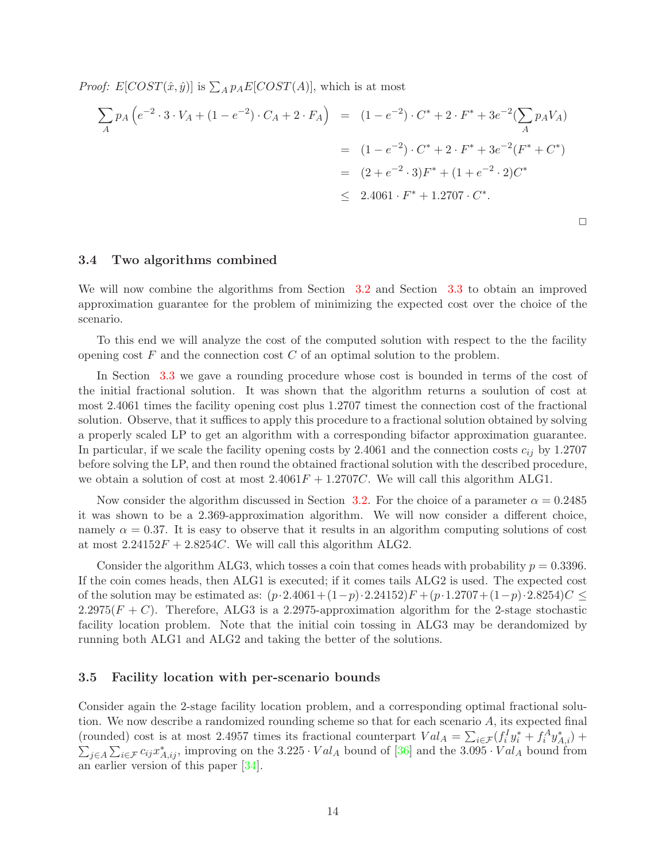*Proof:*  $E[COST(\hat{x}, \hat{y})]$  is  $\sum_{A} p_A E[COST(A)]$ , which is at most

$$
\sum_{A} p_{A} (e^{-2} \cdot 3 \cdot V_{A} + (1 - e^{-2}) \cdot C_{A} + 2 \cdot F_{A}) = (1 - e^{-2}) \cdot C^{*} + 2 \cdot F^{*} + 3e^{-2} (\sum_{A} p_{A} V_{A})
$$
\n
$$
= (1 - e^{-2}) \cdot C^{*} + 2 \cdot F^{*} + 3e^{-2} (F^{*} + C^{*})
$$
\n
$$
= (2 + e^{-2} \cdot 3) F^{*} + (1 + e^{-2} \cdot 2) C^{*}
$$
\n
$$
\leq 2.4061 \cdot F^{*} + 1.2707 \cdot C^{*}.
$$

 $\Box$ 

### <span id="page-13-0"></span>3.4 Two algorithms combined

We will now combine the algorithms from Section [3.2](#page-8-0) and Section [3.3](#page-10-0) to obtain an improved approximation guarantee for the problem of minimizing the expected cost over the choice of the scenario.

To this end we will analyze the cost of the computed solution with respect to the the facility opening cost  $F$  and the connection cost  $C$  of an optimal solution to the problem.

In Section [3.3](#page-10-0) we gave a rounding procedure whose cost is bounded in terms of the cost of the initial fractional solution. It was shown that the algorithm returns a soulution of cost at most 2.4061 times the facility opening cost plus 1.2707 timest the connection cost of the fractional solution. Observe, that it suffices to apply this procedure to a fractional solution obtained by solving a properly scaled LP to get an algorithm with a corresponding bifactor approximation guarantee. In particular, if we scale the facility opening costs by 2.4061 and the connection costs  $c_{ij}$  by 1.2707 before solving the LP, and then round the obtained fractional solution with the described procedure, we obtain a solution of cost at most  $2.4061F + 1.2707C$ . We will call this algorithm ALG1.

Now consider the algorithm discussed in Section [3.2.](#page-8-0) For the choice of a parameter  $\alpha = 0.2485$ it was shown to be a 2.369-approximation algorithm. We will now consider a different choice, namely  $\alpha = 0.37$ . It is easy to observe that it results in an algorithm computing solutions of cost at most  $2.24152F + 2.8254C$ . We will call this algorithm ALG2.

Consider the algorithm ALG3, which tosses a coin that comes heads with probability  $p = 0.3396$ . If the coin comes heads, then ALG1 is executed; if it comes tails ALG2 is used. The expected cost of the solution may be estimated as:  $(p \cdot 2.4061 + (1-p) \cdot 2.24152)F + (p \cdot 1.2707 + (1-p) \cdot 2.8254)C \leq$ 2.2975( $F + C$ ). Therefore, ALG3 is a 2.2975-approximation algorithm for the 2-stage stochastic facility location problem. Note that the initial coin tossing in ALG3 may be derandomized by running both ALG1 and ALG2 and taking the better of the solutions.

### <span id="page-13-1"></span>3.5 Facility location with per-scenario bounds

Consider again the 2-stage facility location problem, and a corresponding optimal fractional solution. We now describe a randomized rounding scheme so that for each scenario A, its expected final (rounded) cost is at most 2.4957 times its fractional counterpart  $Val_A = \sum_{i \in \mathcal{F}} (f_i^I y_i^* + f_i^A y_{A,i}^*) +$  $\sum_{j\in A}\sum_{i\in \mathcal{F}}c_{ij}x^*_{A,ij}$ , improving on the 3.225 ·  $Val_A$  bound of [\[36\]](#page-20-4) and the 3.095 ·  $Val_A$  bound from an earlier version of this paper [\[34\]](#page-20-1).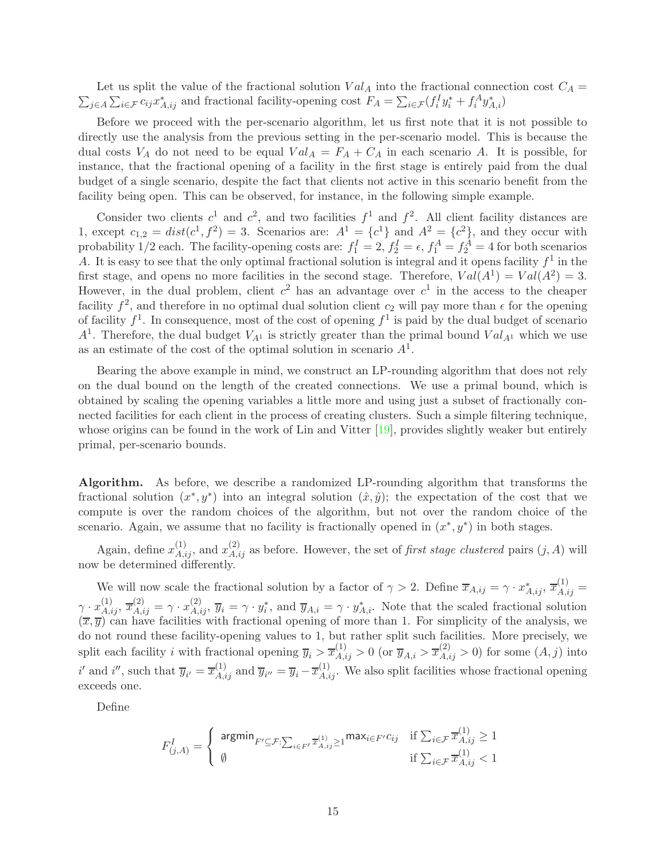Let us split the value of the fractional solution  $Val_A$  into the fractional connection cost  $C_A$  =  $\sum_{j\in A}\sum_{i\in\mathcal{F}}c_{ij}x_{A,ij}^*$  and fractional facility-opening cost  $F_A = \sum_{i\in\mathcal{F}}(f_i^I y_i^* + f_i^A y_{A,i}^*)$ 

Before we proceed with the per-scenario algorithm, let us first note that it is not possible to directly use the analysis from the previous setting in the per-scenario model. This is because the dual costs  $V_A$  do not need to be equal  $Val_A = F_A + C_A$  in each scenario A. It is possible, for instance, that the fractional opening of a facility in the first stage is entirely paid from the dual budget of a single scenario, despite the fact that clients not active in this scenario benefit from the facility being open. This can be observed, for instance, in the following simple example.

Consider two clients  $c^1$  and  $c^2$ , and two facilities  $f^1$  and  $f^2$ . All client facility distances are 1, except  $c_{1,2} = dist(c^1, f^2) = 3$ . Scenarios are:  $A^1 = \{c^1\}$  and  $A^2 = \{c^2\}$ , and they occur with probability 1/2 each. The facility-opening costs are:  $f_1^I = 2$ ,  $f_2^I = \epsilon$ ,  $f_1^A = f_2^A = 4$  for both scenarios A. It is easy to see that the only optimal fractional solution is integral and it opens facility  $f^1$  in the first stage, and opens no more facilities in the second stage. Therefore,  $Val(A^1) = Val(A^2) = 3$ . However, in the dual problem, client  $c^2$  has an advantage over  $c^1$  in the access to the cheaper facility  $f^2$ , and therefore in no optimal dual solution client  $c_2$  will pay more than  $\epsilon$  for the opening of facility  $f^1$ . In consequence, most of the cost of opening  $f^1$  is paid by the dual budget of scenario  $A<sup>1</sup>$ . Therefore, the dual budget  $V_{A<sup>1</sup>}$  is strictly greater than the primal bound  $Val_{A<sup>1</sup>}$  which we use as an estimate of the cost of the optimal solution in scenario  $A<sup>1</sup>$ .

Bearing the above example in mind, we construct an LP-rounding algorithm that does not rely on the dual bound on the length of the created connections. We use a primal bound, which is obtained by scaling the opening variables a little more and using just a subset of fractionally connected facilities for each client in the process of creating clusters. Such a simple filtering technique, whose origins can be found in the work of Lin and Vitter [19], provides slightly weaker but entirely primal, per-scenario bounds.

Algorithm. As before, we describe a randomized LP-rounding algorithm that transforms the fractional solution  $(x^*, y^*)$  into an integral solution  $(\hat{x}, \hat{y})$ ; the expectation of the cost that we compute is over the random choices of the algorithm, but not over the random choice of the scenario. Again, we assume that no facility is fractionally opened in  $(x^*, y^*)$  in both stages.

Again, define  $x_{A,ij}^{(1)}$ , and  $x_{A,ij}^{(2)}$  as before. However, the set of *first stage clustered* pairs  $(j, A)$  will now be determined differently.

We will now scale the fractional solution by a factor of  $\gamma > 2$ . Define  $\overline{x}_{A,ij} = \gamma \cdot x_{A,ij}^*$ ,  $\overline{x}_{A,ij}^{(1)} =$  $\gamma \cdot x_{A,ij}^{(1)}, \ \overline{x}_{A,ij}^{(2)} = \gamma \cdot x_{A,ij}^{(2)}, \ \overline{y}_i = \gamma \cdot y_i^*$ , and  $\overline{y}_{A,i} = \gamma \cdot y_{A,i}^*$ . Note that the scaled fractional solution  $(\overline{x}, \overline{y})$  can have facilities with fractional opening of more than 1. For simplicity of the analysis, we do not round these facility-opening values to 1, but rather split such facilities. More precisely, we split each facility *i* with fractional opening  $\overline{y}_i > \overline{x}_{A,ij}^{(1)} > 0$  (or  $\overline{y}_{A,i} > \overline{x}_{A,ij}^{(2)} > 0$ ) for some  $(A, j)$  into i' and i'', such that  $\overline{y}_{i'} = \overline{x}_{A,ij}^{(1)}$  and  $\overline{y}_{i''} = \overline{y}_i - \overline{x}_{A,ij}^{(1)}$ . We also split facilities whose fractional opening exceeds one.

Define

$$
F_{(j,A)}^I = \begin{cases} \operatorname{argmin}_{F' \subseteq \mathcal{F}: \sum_{i \in F'} \overline{x}_{A,ij}^{(1)} \ge 1} \operatorname{max}_{i \in F'} c_{ij} & \text{if } \sum_{i \in \mathcal{F}} \overline{x}_{A,ij}^{(1)} \ge 1 \\ \emptyset & \text{if } \sum_{i \in \mathcal{F}} \overline{x}_{A,ij}^{(1)} < 1 \end{cases}
$$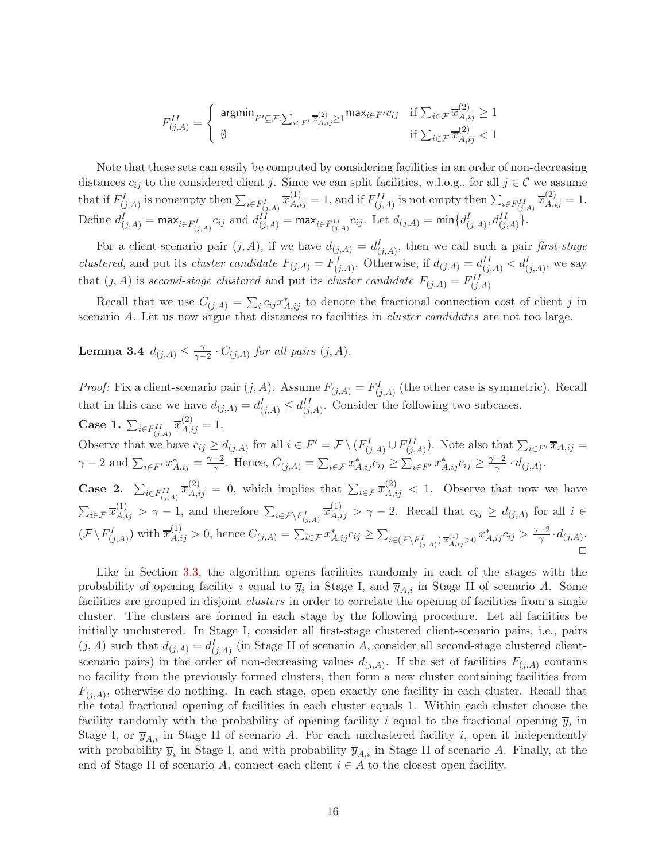$$
F_{(j,A)}^{II} = \begin{cases} \operatorname{argmin}_{F' \subseteq \mathcal{F}: \sum_{i \in F'} \overline{x}_{A,ij}^{(2)} \ge 1} \operatorname{max}_{i \in F'} c_{ij} & \text{if } \sum_{i \in \mathcal{F}} \overline{x}_{A,ij}^{(2)} \ge 1 \\ \emptyset & \text{if } \sum_{i \in \mathcal{F}} \overline{x}_{A,ij}^{(2)} < 1 \end{cases}
$$

Note that these sets can easily be computed by considering facilities in an order of non-decreasing distances  $c_{ij}$  to the considered client j. Since we can split facilities, w.l.o.g., for all  $j \in \mathcal{C}$  we assume that if  $F^I_{(j,A)}$  is nonempty then  $\sum_{i \in F^I_{(j,A)}} \overline{x}^{(1)}_{A,ij} = 1$ , and if  $F^{II}_{(j,A)}$  is not empty then  $\sum_{i \in F^{II}_{(j,A)}} \overline{x}^{(2)}_{A,ij} = 1$ . Define  $d_{(j,A)}^I = \max_{i \in F_{(j,A)}^I} c_{ij}$  and  $d_{(j,A)}^{II} = \max_{i \in F_{(j,A)}^{II}} c_{ij}$ . Let  $d_{(j,A)} = \min\{d_{(j,A)}^I, d_{(j,A)}^{II}\}$ .

For a client-scenario pair  $(j, A)$ , if we have  $d_{(j, A)} = d_{(j, A)}^I$ , then we call such a pair *first-stage clustered*, and put its *cluster candidate*  $F_{(j,A)} = F_{(j,A)}^I$ . Otherwise, if  $d_{(j,A)} = d_{(j,A)}^{II} < d_{(j,A)}^I$ , we say that  $(j, A)$  is *second-stage clustered* and put its *cluster candidate*  $F_{(j,A)} = F_{(j,A)}^{II}$ 

<span id="page-15-0"></span>Recall that we use  $C_{(j,A)} = \sum_i c_{ij} x_{A,ij}^*$  to denote the fractional connection cost of client j in scenario A. Let us now argue that distances to facilities in *cluster candidates* are not too large.

Lemma 3.4  $d_{(j,A)} \leq \frac{\gamma}{\gamma-1}$  $\frac{\gamma}{\gamma-2} \cdot C_{(j,A)}$  for all pairs  $(j,A)$ .

*Proof:* Fix a client-scenario pair  $(j, A)$ . Assume  $F_{(j, A)} = F_{(j, A)}^I$  (the other case is symmetric). Recall that in this case we have  $d_{(j,A)} = d_{(j,A)}^I \leq d_{(j,A)}^{II}$ . Consider the following two subcases.

**Case 1.**  $\sum_{i \in F_{(j,A)}^{II}} \overline{x}_{A,ij}^{(2)} = 1$ . Observe that we have  $c_{ij} \ge d_{(j,A)}$  for all  $i \in F' = \mathcal{F} \setminus (F_{(j,A)}^I \cup F_{(j,A)}^{II})$ . Note also that  $\sum_{i \in F'} \overline{x}_{A,ij} =$  $\gamma - 2$  and  $\sum_{i \in F'} x_{A,ij}^* = \frac{\gamma - 2}{\gamma}$  $\frac{-2}{\gamma}$ . Hence,  $C_{(j,A)} = \sum_{i \in \mathcal{F}} x_{A,ij}^* c_{ij} \geq \sum_{i \in F'} x_{A,ij}^* c_{ij} \geq \frac{\gamma - 2}{\gamma}$  $\frac{-2}{\gamma} \cdot d_{(j,A)}.$ **Case 2.**  $\sum_{i\in\mathcal{F}_{(j,A)}^{II}}\overline{x}_{A,ij}^{(2)}=0$ , which implies that  $\sum_{i\in\mathcal{F}}\overline{x}_{A,ij}^{(2)}<1$ . Observe that now we have  $\sum_{i\in\mathcal{F}}\overline{x}_{A,ij}^{(1)} > \gamma-1$ , and therefore  $\sum_{i\in\mathcal{F}\setminus F_{(j,A)}^I}\overline{x}_{A,ij}^{(1)} > \gamma-2$ . Recall that  $c_{ij} \geq d_{(j,A)}$  for all  $i \in$  $(\mathcal{F} \setminus F^I_{(j,A)})$  with  $\overline{x}_{A,ij}^{(1)} > 0$ , hence  $C_{(j,A)} = \sum_{i \in \mathcal{F}} x_{A,ij}^* c_{ij} \ge \sum_{i \in (\mathcal{F} \setminus F^I_{(j,A)})} \overline{x}_{A,ij}^{(1)} > 0$ ,  $x_{A,ij}^* c_{ij} > \frac{\gamma - 2}{\gamma}$  $\frac{-2}{\gamma} \cdot d_{(j,A)}$ .  $\Box$ 

Like in Section [3.3,](#page-10-0) the algorithm opens facilities randomly in each of the stages with the probability of opening facility i equal to  $\overline{y}_i$  in Stage I, and  $\overline{y}_{A,i}$  in Stage II of scenario A. Some facilities are grouped in disjoint *clusters* in order to correlate the opening of facilities from a single cluster. The clusters are formed in each stage by the following procedure. Let all facilities be initially unclustered. In Stage I, consider all first-stage clustered client-scenario pairs, i.e., pairs  $(j, A)$  such that  $d_{(j, A)} = d_{(j, A)}^I$  (in Stage II of scenario A, consider all second-stage clustered clientscenario pairs) in the order of non-decreasing values  $d_{(j,A)}$ . If the set of facilities  $F_{(j,A)}$  contains no facility from the previously formed clusters, then form a new cluster containing facilities from  $F_{(j,A)}$ , otherwise do nothing. In each stage, open exactly one facility in each cluster. Recall that the total fractional opening of facilities in each cluster equals 1. Within each cluster choose the facility randomly with the probability of opening facility i equal to the fractional opening  $\overline{y}_i$  in Stage I, or  $\overline{y}_{A,i}$  in Stage II of scenario A. For each unclustered facility i, open it independently with probability  $\overline{y}_i$  in Stage I, and with probability  $\overline{y}_{A,i}$  in Stage II of scenario A. Finally, at the end of Stage II of scenario A, connect each client  $i \in A$  to the closest open facility.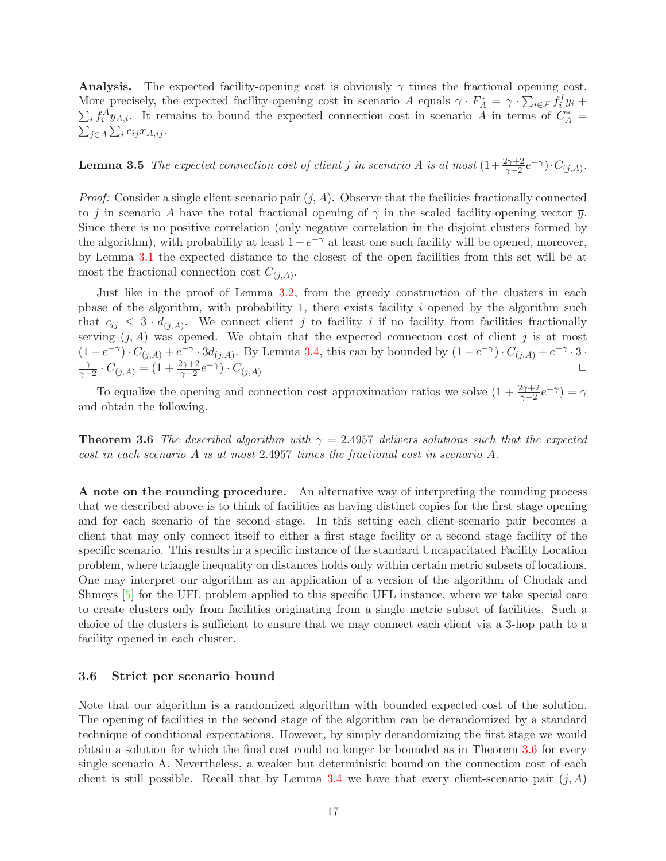**Analysis.** The expected facility-opening cost is obviously  $\gamma$  times the fractional opening cost. More precisely, the expected facility-opening cost in scenario A equals  $\gamma \cdot F_A^* = \gamma \cdot \sum_{i \in \mathcal{F}} f_i^I y_i +$  $\sum_i f_i^A y_{A,i}$ . It remains to bound the expected connection cost in scenario A in terms of  $C_A^*$  $\sum_{j\in A}\sum_i c_{ij}x_{A,ij}.$ 

**Lemma 3.5** *The expected connection cost of client j in scenario* A *is at most*  $(1 + \frac{2\gamma + 2}{\gamma - 2}e^{-\gamma}) \cdot C_{(j, A)}$ .

*Proof:* Consider a single client-scenario pair  $(j, A)$ . Observe that the facilities fractionally connected to j in scenario A have the total fractional opening of  $\gamma$  in the scaled facility-opening vector  $\overline{y}$ . Since there is no positive correlation (only negative correlation in the disjoint clusters formed by the algorithm), with probability at least  $1-e^{-\gamma}$  at least one such facility will be opened, moreover, by Lemma [3.1](#page-11-0) the expected distance to the closest of the open facilities from this set will be at most the fractional connection cost  $C_{(j,A)}$ .

Just like in the proof of Lemma [3.2,](#page-12-0) from the greedy construction of the clusters in each phase of the algorithm, with probability 1, there exists facility  $i$  opened by the algorithm such that  $c_{ij} \leq 3 \cdot d_{(j,A)}$ . We connect client j to facility i if no facility from facilities fractionally serving  $(j, A)$  was opened. We obtain that the expected connection cost of client j is at most  $(1-e^{-\gamma})\cdot C_{(j,A)}+e^{-\gamma}\cdot 3d_{(j,A)}$ . By Lemma [3.4,](#page-15-0) this can by bounded by  $(1-e^{-\gamma})\cdot C_{(j,A)}+e^{-\gamma}\cdot 3\cdot$ γ  $\frac{\gamma}{\gamma-2} \cdot C_{(j,A)} = (1 + \frac{2\gamma+2}{\gamma-2}e^{-\gamma}) \cdot C_{(j,A)}$ 

<span id="page-16-1"></span>To equalize the opening and connection cost approximation ratios we solve  $(1 + \frac{2\gamma + 2}{\gamma - 2}e^{-\gamma}) = \gamma$ and obtain the following.

**Theorem 3.6** *The described algorithm with*  $\gamma = 2.4957$  *delivers solutions such that the expected cost in each scenario* A *is at most* 2.4957 *times the fractional cost in scenario* A*.*

A note on the rounding procedure. An alternative way of interpreting the rounding process that we described above is to think of facilities as having distinct copies for the first stage opening and for each scenario of the second stage. In this setting each client-scenario pair becomes a client that may only connect itself to either a first stage facility or a second stage facility of the specific scenario. This results in a specific instance of the standard Uncapacitated Facility Location problem, where triangle inequality on distances holds only within certain metric subsets of locations. One may interpret our algorithm as an application of a version of the algorithm of Chudak and Shmoys [\[5\]](#page-18-11) for the UFL problem applied to this specific UFL instance, where we take special care to create clusters only from facilities originating from a single metric subset of facilities. Such a choice of the clusters is sufficient to ensure that we may connect each client via a 3-hop path to a facility opened in each cluster.

#### <span id="page-16-0"></span>3.6 Strict per scenario bound

Note that our algorithm is a randomized algorithm with bounded expected cost of the solution. The opening of facilities in the second stage of the algorithm can be derandomized by a standard technique of conditional expectations. However, by simply derandomizing the first stage we would obtain a solution for which the final cost could no longer be bounded as in Theorem [3.6](#page-16-1) for every single scenario A. Nevertheless, a weaker but deterministic bound on the connection cost of each client is still possible. Recall that by Lemma [3.4](#page-15-0) we have that every client-scenario pair  $(j, A)$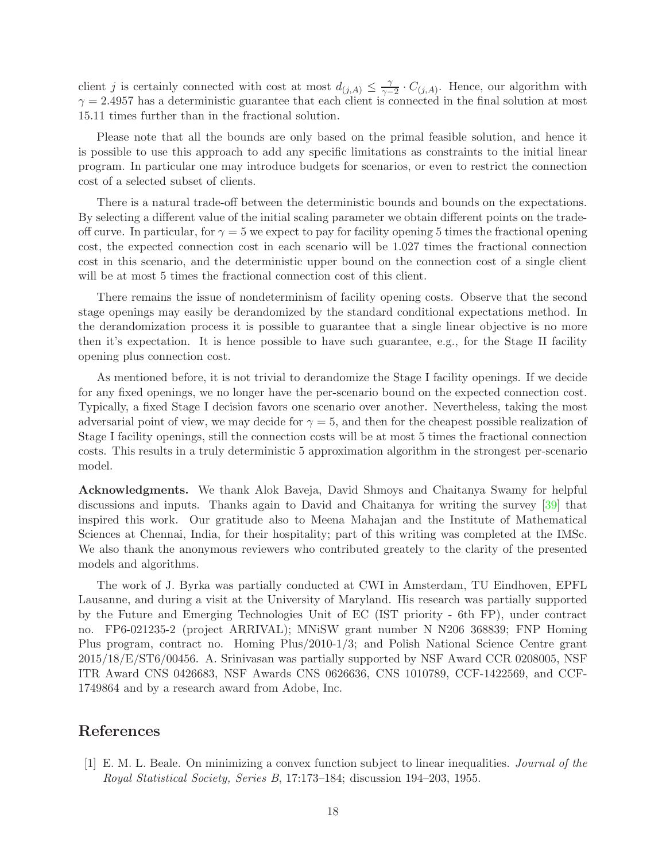client j is certainly connected with cost at most  $d_{(j,A)} \leq \frac{\gamma}{\gamma-1}$  $\frac{\gamma}{\gamma-2} \cdot C_{(j,A)}$ . Hence, our algorithm with  $\gamma = 2.4957$  has a deterministic guarantee that each client is connected in the final solution at most 15.11 times further than in the fractional solution.

Please note that all the bounds are only based on the primal feasible solution, and hence it is possible to use this approach to add any specific limitations as constraints to the initial linear program. In particular one may introduce budgets for scenarios, or even to restrict the connection cost of a selected subset of clients.

There is a natural trade-off between the deterministic bounds and bounds on the expectations. By selecting a different value of the initial scaling parameter we obtain different points on the tradeoff curve. In particular, for  $\gamma = 5$  we expect to pay for facility opening 5 times the fractional opening cost, the expected connection cost in each scenario will be 1.027 times the fractional connection cost in this scenario, and the deterministic upper bound on the connection cost of a single client will be at most 5 times the fractional connection cost of this client.

There remains the issue of nondeterminism of facility opening costs. Observe that the second stage openings may easily be derandomized by the standard conditional expectations method. In the derandomization process it is possible to guarantee that a single linear objective is no more then it's expectation. It is hence possible to have such guarantee, e.g., for the Stage II facility opening plus connection cost.

As mentioned before, it is not trivial to derandomize the Stage I facility openings. If we decide for any fixed openings, we no longer have the per-scenario bound on the expected connection cost. Typically, a fixed Stage I decision favors one scenario over another. Nevertheless, taking the most adversarial point of view, we may decide for  $\gamma = 5$ , and then for the cheapest possible realization of Stage I facility openings, still the connection costs will be at most 5 times the fractional connection costs. This results in a truly deterministic 5 approximation algorithm in the strongest per-scenario model.

Acknowledgments. We thank Alok Baveja, David Shmoys and Chaitanya Swamy for helpful discussions and inputs. Thanks again to David and Chaitanya for writing the survey [\[39\]](#page-20-0) that inspired this work. Our gratitude also to Meena Mahajan and the Institute of Mathematical Sciences at Chennai, India, for their hospitality; part of this writing was completed at the IMSc. We also thank the anonymous reviewers who contributed greately to the clarity of the presented models and algorithms.

The work of J. Byrka was partially conducted at CWI in Amsterdam, TU Eindhoven, EPFL Lausanne, and during a visit at the University of Maryland. His research was partially supported by the Future and Emerging Technologies Unit of EC (IST priority - 6th FP), under contract no. FP6-021235-2 (project ARRIVAL); MNiSW grant number N N206 368839; FNP Homing Plus program, contract no. Homing Plus/2010-1/3; and Polish National Science Centre grant 2015/18/E/ST6/00456. A. Srinivasan was partially supported by NSF Award CCR 0208005, NSF ITR Award CNS 0426683, NSF Awards CNS 0626636, CNS 1010789, CCF-1422569, and CCF-1749864 and by a research award from Adobe, Inc.

### <span id="page-17-0"></span>References

[1] E. M. L. Beale. On minimizing a convex function subject to linear inequalities. *Journal of the Royal Statistical Society, Series B*, 17:173–184; discussion 194–203, 1955.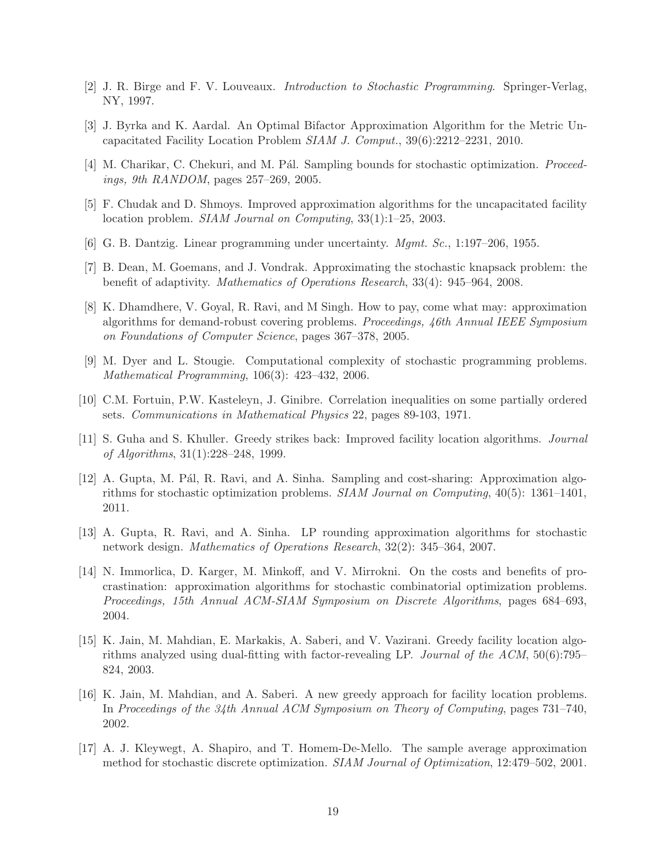- <span id="page-18-10"></span>[2] J. R. Birge and F. V. Louveaux. *Introduction to Stochastic Programming*. Springer-Verlag, NY, 1997.
- <span id="page-18-4"></span>[3] J. Byrka and K. Aardal. An Optimal Bifactor Approximation Algorithm for the Metric Uncapacitated Facility Location Problem *SIAM J. Comput.*, 39(6):2212–2231, 2010.
- <span id="page-18-11"></span>[4] M. Charikar, C. Chekuri, and M. Pál. Sampling bounds for stochastic optimization. *Proceedings, 9th RANDOM*, pages 257–269, 2005.
- <span id="page-18-0"></span>[5] F. Chudak and D. Shmoys. Improved approximation algorithms for the uncapacitated facility location problem. *SIAM Journal on Computing*, 33(1):1–25, 2003.
- <span id="page-18-2"></span>[6] G. B. Dantzig. Linear programming under uncertainty. *Mgmt. Sc.*, 1:197–206, 1955.
- <span id="page-18-9"></span>[7] B. Dean, M. Goemans, and J. Vondrak. Approximating the stochastic knapsack problem: the benefit of adaptivity. *Mathematics of Operations Research*, 33(4): 945–964, 2008.
- [8] K. Dhamdhere, V. Goyal, R. Ravi, and M Singh. How to pay, come what may: approximation algorithms for demand-robust covering problems. *Proceedings, 46th Annual IEEE Symposium on Foundations of Computer Science*, pages 367–378, 2005.
- [9] M. Dyer and L. Stougie. Computational complexity of stochastic programming problems. *Mathematical Programming*, 106(3): 423–432, 2006.
- <span id="page-18-5"></span>[10] C.M. Fortuin, P.W. Kasteleyn, J. Ginibre. Correlation inequalities on some partially ordered sets. *Communications in Mathematical Physics* 22, pages 89-103, 1971.
- <span id="page-18-3"></span>[11] S. Guha and S. Khuller. Greedy strikes back: Improved facility location algorithms. *Journal of Algorithms*, 31(1):228–248, 1999.
- [12] A. Gupta, M. Pál, R. Ravi, and A. Sinha. Sampling and cost-sharing: Approximation algorithms for stochastic optimization problems. *SIAM Journal on Computing*, 40(5): 1361–1401, 2011.
- <span id="page-18-8"></span>[13] A. Gupta, R. Ravi, and A. Sinha. LP rounding approximation algorithms for stochastic network design. *Mathematics of Operations Research*, 32(2): 345–364, 2007.
- <span id="page-18-1"></span>[14] N. Immorlica, D. Karger, M. Minkoff, and V. Mirrokni. On the costs and benefits of procrastination: approximation algorithms for stochastic combinatorial optimization problems. *Proceedings, 15th Annual ACM-SIAM Symposium on Discrete Algorithms*, pages 684–693, 2004.
- <span id="page-18-6"></span>[15] K. Jain, M. Mahdian, E. Markakis, A. Saberi, and V. Vazirani. Greedy facility location algorithms analyzed using dual-fitting with factor-revealing LP. *Journal of the ACM*, 50(6):795– 824, 2003.
- <span id="page-18-7"></span>[16] K. Jain, M. Mahdian, and A. Saberi. A new greedy approach for facility location problems. In *Proceedings of the 34th Annual ACM Symposium on Theory of Computing*, pages 731–740, 2002.
- [17] A. J. Kleywegt, A. Shapiro, and T. Homem-De-Mello. The sample average approximation method for stochastic discrete optimization. *SIAM Journal of Optimization*, 12:479–502, 2001.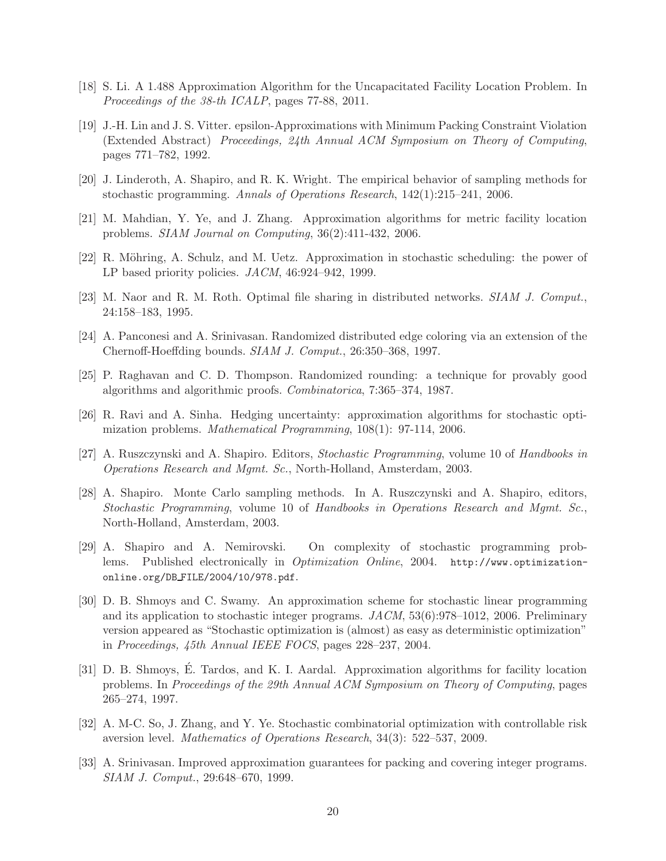- <span id="page-19-6"></span>[18] S. Li. A 1.488 Approximation Algorithm for the Uncapacitated Facility Location Problem. In *Proceedings of the 38-th ICALP*, pages 77-88, 2011.
- [19] J.-H. Lin and J. S. Vitter. epsilon-Approximations with Minimum Packing Constraint Violation (Extended Abstract) *Proceedings, 24th Annual ACM Symposium on Theory of Computing*, pages 771–782, 1992.
- <span id="page-19-10"></span><span id="page-19-3"></span>[20] J. Linderoth, A. Shapiro, and R. K. Wright. The empirical behavior of sampling methods for stochastic programming. *Annals of Operations Research*, 142(1):215–241, 2006.
- <span id="page-19-0"></span>[21] M. Mahdian, Y. Ye, and J. Zhang. Approximation algorithms for metric facility location problems. *SIAM Journal on Computing*, 36(2):411-432, 2006.
- <span id="page-19-8"></span>[22] R. Möhring, A. Schulz, and M. Uetz. Approximation in stochastic scheduling: the power of LP based priority policies. *JACM*, 46:924–942, 1999.
- <span id="page-19-9"></span>[23] M. Naor and R. M. Roth. Optimal file sharing in distributed networks. *SIAM J. Comput.*, 24:158–183, 1995.
- <span id="page-19-7"></span>[24] A. Panconesi and A. Srinivasan. Randomized distributed edge coloring via an extension of the Chernoff-Hoeffding bounds. *SIAM J. Comput.*, 26:350–368, 1997.
- <span id="page-19-1"></span>[25] P. Raghavan and C. D. Thompson. Randomized rounding: a technique for provably good algorithms and algorithmic proofs. *Combinatorica*, 7:365–374, 1987.
- [26] R. Ravi and A. Sinha. Hedging uncertainty: approximation algorithms for stochastic optimization problems. *Mathematical Programming*, 108(1): 97-114, 2006.
- [27] A. Ruszczynski and A. Shapiro. Editors, *Stochastic Programming*, volume 10 of *Handbooks in Operations Research and Mgmt. Sc.*, North-Holland, Amsterdam, 2003.
- [28] A. Shapiro. Monte Carlo sampling methods. In A. Ruszczynski and A. Shapiro, editors, *Stochastic Programming*, volume 10 of *Handbooks in Operations Research and Mgmt. Sc.*, North-Holland, Amsterdam, 2003.
- [29] A. Shapiro and A. Nemirovski. On complexity of stochastic programming problems. Published electronically in *Optimization Online*, 2004. http://www.optimizationonline.org/DB FILE/2004/10/978.pdf.
- <span id="page-19-2"></span>[30] D. B. Shmoys and C. Swamy. An approximation scheme for stochastic linear programming and its application to stochastic integer programs. *JACM*, 53(6):978–1012, 2006. Preliminary version appeared as "Stochastic optimization is (almost) as easy as deterministic optimization" in *Proceedings, 45th Annual IEEE FOCS*, pages 228–237, 2004.
- <span id="page-19-5"></span>[31] D. B. Shmoys, É. Tardos, and K. I. Aardal. Approximation algorithms for facility location problems. In *Proceedings of the 29th Annual ACM Symposium on Theory of Computing*, pages 265–274, 1997.
- <span id="page-19-4"></span>[32] A. M-C. So, J. Zhang, and Y. Ye. Stochastic combinatorial optimization with controllable risk aversion level. *Mathematics of Operations Research*, 34(3): 522–537, 2009.
- [33] A. Srinivasan. Improved approximation guarantees for packing and covering integer programs. *SIAM J. Comput.*, 29:648–670, 1999.